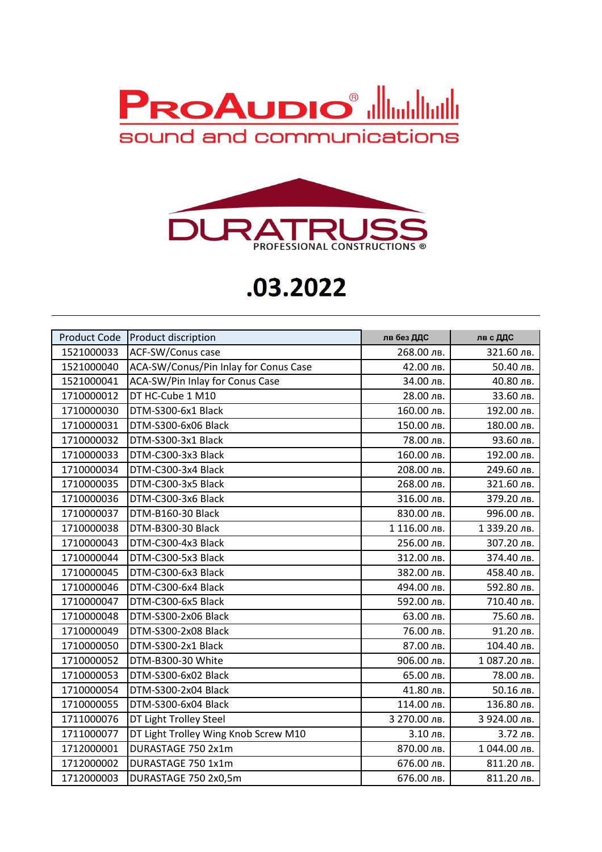



## **.03.2022**

| <b>Product Code</b> | <b>Product discription</b>            | лв без ДДС   | лв с ДДС     |
|---------------------|---------------------------------------|--------------|--------------|
| 1521000033          | ACF-SW/Conus case                     | 268.00 лв.   | 321.60 лв.   |
| 1521000040          | ACA-SW/Conus/Pin Inlay for Conus Case | 42.00 лв.    | 50.40 лв.    |
| 1521000041          | ACA-SW/Pin Inlay for Conus Case       | 34.00 лв.    | 40.80 лв.    |
| 1710000012          | DT HC-Cube 1 M10                      | 28.00 лв.    | 33.60 лв.    |
| 1710000030          | DTM-S300-6x1 Black                    | 160.00 лв.   | 192.00 лв.   |
| 1710000031          | DTM-S300-6x06 Black                   | 150.00 лв.   | 180.00 лв.   |
| 1710000032          | DTM-S300-3x1 Black                    | 78.00 лв.    | 93.60 лв.    |
| 1710000033          | DTM-C300-3x3 Black                    | 160.00 лв.   | 192.00 лв.   |
| 1710000034          | DTM-C300-3x4 Black                    | 208.00 лв.   | 249.60 лв.   |
| 1710000035          | DTM-C300-3x5 Black                    | 268.00 лв.   | 321.60 лв.   |
| 1710000036          | DTM-C300-3x6 Black                    | 316.00 лв.   | 379.20 лв.   |
| 1710000037          | DTM-B160-30 Black                     | 830.00 лв.   | 996.00 лв.   |
| 1710000038          | DTM-B300-30 Black                     | 1 116.00 лв. | 1 339.20 лв. |
| 1710000043          | DTM-C300-4x3 Black                    | 256.00 лв.   | 307.20 лв.   |
| 1710000044          | DTM-C300-5x3 Black                    | 312.00 лв.   | 374.40 лв.   |
| 1710000045          | DTM-C300-6x3 Black                    | 382.00 лв.   | 458.40 лв.   |
| 1710000046          | DTM-C300-6x4 Black                    | 494.00 лв.   | 592.80 лв.   |
| 1710000047          | DTM-C300-6x5 Black                    | 592.00 лв.   | 710.40 лв.   |
| 1710000048          | DTM-S300-2x06 Black                   | 63.00 лв.    | 75.60 лв.    |
| 1710000049          | DTM-S300-2x08 Black                   | 76.00 лв.    | 91.20 лв.    |
| 1710000050          | DTM-S300-2x1 Black                    | 87.00 лв.    | 104.40 лв.   |
| 1710000052          | DTM-B300-30 White                     | 906.00 лв.   | 1087.20 лв.  |
| 1710000053          | DTM-S300-6x02 Black                   | 65.00 лв.    | 78.00 лв.    |
| 1710000054          | DTM-S300-2x04 Black                   | 41.80 лв.    | 50.16 лв.    |
| 1710000055          | DTM-S300-6x04 Black                   | 114.00 лв.   | 136.80 лв.   |
| 1711000076          | DT Light Trolley Steel                | 3 270.00 лв. | 3 924.00 лв. |
| 1711000077          | DT Light Trolley Wing Knob Screw M10  | 3.10 лв.     | 3.72 лв.     |
| 1712000001          | DURASTAGE 750 2x1m                    | 870.00 лв.   | 1044.00 лв.  |
| 1712000002          | DURASTAGE 750 1x1m                    | 676.00 лв.   | 811.20 лв.   |
| 1712000003          | DURASTAGE 750 2x0,5m                  | 676.00 лв.   | 811.20 лв.   |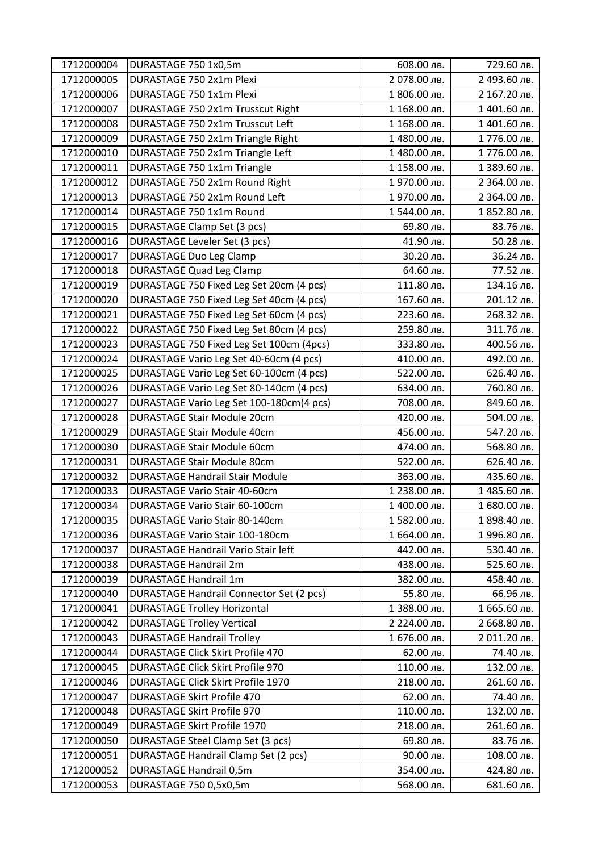| 1712000004 | DURASTAGE 750 1x0,5m                            | 608.00 лв.   | 729.60 лв.   |
|------------|-------------------------------------------------|--------------|--------------|
| 1712000005 | DURASTAGE 750 2x1m Plexi                        | 2 078.00 лв. | 2 493.60 лв. |
| 1712000006 | DURASTAGE 750 1x1m Plexi                        | 1 806.00 лв. | 2 167.20 лв. |
| 1712000007 | DURASTAGE 750 2x1m Trusscut Right               | 1 168.00 лв. | 1401.60 лв.  |
| 1712000008 | DURASTAGE 750 2x1m Trusscut Left                | 1 168.00 лв. | 1401.60 лв.  |
| 1712000009 | DURASTAGE 750 2x1m Triangle Right               | 1480.00 лв.  | 1776.00 лв.  |
| 1712000010 | DURASTAGE 750 2x1m Triangle Left                | 1480.00 лв.  | 1776.00 лв.  |
| 1712000011 | DURASTAGE 750 1x1m Triangle                     | 1 158.00 лв. | 1 389.60 лв. |
| 1712000012 | DURASTAGE 750 2x1m Round Right                  | 1970.00 лв.  | 2 364.00 лв. |
| 1712000013 | DURASTAGE 750 2x1m Round Left                   | 1970.00 лв.  | 2 364.00 лв. |
| 1712000014 | DURASTAGE 750 1x1m Round                        | 1544.00 лв.  | 1 852.80 лв. |
| 1712000015 | <b>DURASTAGE Clamp Set (3 pcs)</b>              | 69.80 лв.    | 83.76 лв.    |
| 1712000016 | <b>DURASTAGE Leveler Set (3 pcs)</b>            | 41.90 лв.    | 50.28 лв.    |
| 1712000017 | <b>DURASTAGE Duo Leg Clamp</b>                  | 30.20 лв.    | 36.24 лв.    |
| 1712000018 | <b>DURASTAGE Quad Leg Clamp</b>                 | 64.60 лв.    | 77.52 лв.    |
| 1712000019 | DURASTAGE 750 Fixed Leg Set 20cm (4 pcs)        | 111.80 лв.   | 134.16 лв.   |
| 1712000020 | DURASTAGE 750 Fixed Leg Set 40cm (4 pcs)        | 167.60 лв.   | 201.12 лв.   |
| 1712000021 | DURASTAGE 750 Fixed Leg Set 60cm (4 pcs)        | 223.60 лв.   | 268.32 лв.   |
| 1712000022 | DURASTAGE 750 Fixed Leg Set 80cm (4 pcs)        | 259.80 лв.   | 311.76 лв.   |
| 1712000023 | DURASTAGE 750 Fixed Leg Set 100cm (4pcs)        | 333.80 лв.   | 400.56 лв.   |
| 1712000024 | DURASTAGE Vario Leg Set 40-60cm (4 pcs)         | 410.00 лв.   | 492.00 лв.   |
| 1712000025 | DURASTAGE Vario Leg Set 60-100cm (4 pcs)        | 522.00 лв.   | 626.40 лв.   |
| 1712000026 | DURASTAGE Vario Leg Set 80-140cm (4 pcs)        | 634.00 лв.   | 760.80 лв.   |
| 1712000027 | DURASTAGE Vario Leg Set 100-180cm(4 pcs)        | 708.00 лв.   | 849.60 лв.   |
| 1712000028 | <b>DURASTAGE Stair Module 20cm</b>              | 420.00 лв.   | 504.00 лв.   |
| 1712000029 | <b>DURASTAGE Stair Module 40cm</b>              | 456.00 лв.   | 547.20 лв.   |
| 1712000030 | <b>DURASTAGE Stair Module 60cm</b>              | 474.00 лв.   | 568.80 лв.   |
| 1712000031 | <b>DURASTAGE Stair Module 80cm</b>              | 522.00 лв.   | 626.40 лв.   |
| 1712000032 | <b>DURASTAGE Handrail Stair Module</b>          | 363.00 лв.   | 435.60 лв.   |
| 1712000033 | <b>DURASTAGE Vario Stair 40-60cm</b>            | 1 238.00 лв. | 1485.60 лв.  |
| 1712000034 | DURASTAGE Vario Stair 60-100cm                  | 1400.00 лв.  | 1 680.00 лв. |
| 1712000035 | <b>DURASTAGE Vario Stair 80-140cm</b>           | 1582.00 лв.  | 1 898.40 лв. |
| 1712000036 | DURASTAGE Vario Stair 100-180cm                 | 1 664.00 лв. | 1996.80 лв.  |
| 1712000037 | <b>DURASTAGE Handrail Vario Stair left</b>      | 442.00 лв.   | 530.40 лв.   |
| 1712000038 | <b>DURASTAGE Handrail 2m</b>                    | 438.00 лв.   | 525.60 лв.   |
| 1712000039 | <b>DURASTAGE Handrail 1m</b>                    | 382.00 лв.   | 458.40 лв.   |
| 1712000040 | <b>DURASTAGE Handrail Connector Set (2 pcs)</b> | 55.80 лв.    | 66.96 лв.    |
| 1712000041 | <b>DURASTAGE Trolley Horizontal</b>             | 1 388.00 лв. | 1 665.60 лв. |
| 1712000042 | <b>DURASTAGE Trolley Vertical</b>               | 2 224.00 лв. | 2 668.80 лв. |
| 1712000043 | <b>DURASTAGE Handrail Trolley</b>               | 1 676.00 лв. | 2 011.20 лв. |
| 1712000044 | <b>DURASTAGE Click Skirt Profile 470</b>        | 62.00 лв.    | 74.40 лв.    |
| 1712000045 | <b>DURASTAGE Click Skirt Profile 970</b>        | 110.00 лв.   | 132.00 лв.   |
| 1712000046 | <b>DURASTAGE Click Skirt Profile 1970</b>       | 218.00 лв.   | 261.60 лв.   |
| 1712000047 | <b>DURASTAGE Skirt Profile 470</b>              | 62.00 лв.    | 74.40 лв.    |
| 1712000048 | <b>DURASTAGE Skirt Profile 970</b>              | 110.00 лв.   | 132.00 лв.   |
| 1712000049 | <b>DURASTAGE Skirt Profile 1970</b>             | 218.00 лв.   | 261.60 лв.   |
| 1712000050 | DURASTAGE Steel Clamp Set (3 pcs)               | 69.80 лв.    | 83.76 лв.    |
| 1712000051 | DURASTAGE Handrail Clamp Set (2 pcs)            | 90.00 лв.    | 108.00 лв.   |
| 1712000052 | <b>DURASTAGE Handrail 0,5m</b>                  | 354.00 лв.   | 424.80 лв.   |
| 1712000053 | DURASTAGE 750 0,5x0,5m                          | 568.00 лв.   | 681.60 лв.   |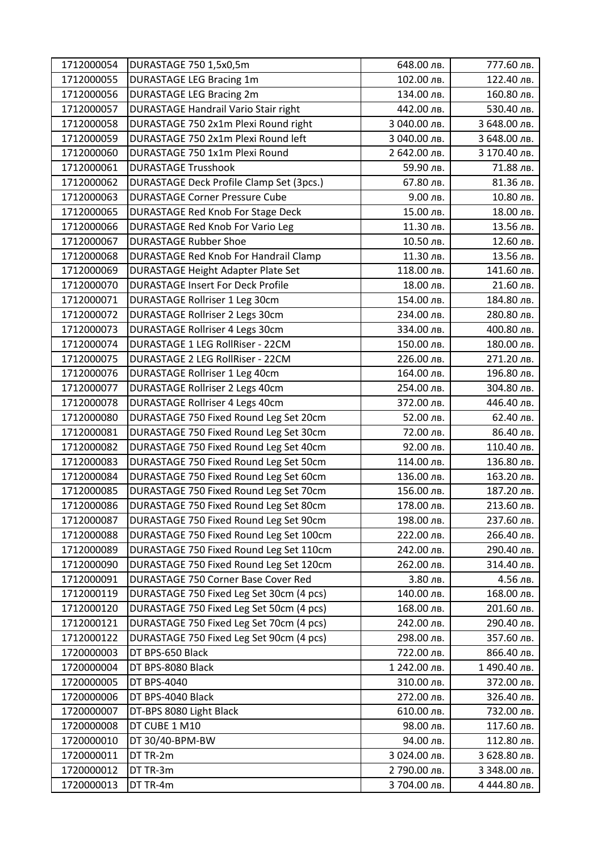| 1712000054 | DURASTAGE 750 1,5x0,5m                       | 648.00 лв.   | 777.60 лв.   |
|------------|----------------------------------------------|--------------|--------------|
| 1712000055 | <b>DURASTAGE LEG Bracing 1m</b>              | 102.00 лв.   | 122.40 лв.   |
| 1712000056 | <b>DURASTAGE LEG Bracing 2m</b>              | 134.00 лв.   | 160.80 лв.   |
| 1712000057 | <b>DURASTAGE Handrail Vario Stair right</b>  | 442.00 лв.   | 530.40 лв.   |
| 1712000058 | DURASTAGE 750 2x1m Plexi Round right         | 3 040.00 лв. | 3 648.00 лв. |
| 1712000059 | DURASTAGE 750 2x1m Plexi Round left          | 3 040.00 лв. | 3 648.00 лв. |
| 1712000060 | DURASTAGE 750 1x1m Plexi Round               | 2 642.00 лв. | 3 170.40 лв. |
| 1712000061 | <b>DURASTAGE Trusshook</b>                   | 59.90 лв.    | 71.88 лв.    |
| 1712000062 | DURASTAGE Deck Profile Clamp Set (3pcs.)     | 67.80 лв.    | 81.36 лв.    |
| 1712000063 | <b>DURASTAGE Corner Pressure Cube</b>        | 9.00 лв.     | 10.80 лв.    |
| 1712000065 | <b>DURASTAGE Red Knob For Stage Deck</b>     | 15.00 лв.    | 18.00 лв.    |
| 1712000066 | <b>DURASTAGE Red Knob For Vario Leg</b>      | 11.30 лв.    | 13.56 лв.    |
| 1712000067 | <b>DURASTAGE Rubber Shoe</b>                 | 10.50 лв.    | 12.60 лв.    |
| 1712000068 | <b>DURASTAGE Red Knob For Handrail Clamp</b> | 11.30 лв.    | 13.56 лв.    |
| 1712000069 | <b>DURASTAGE Height Adapter Plate Set</b>    | 118.00 лв.   | 141.60 лв.   |
| 1712000070 | <b>DURASTAGE Insert For Deck Profile</b>     | 18.00 лв.    | 21.60 лв.    |
| 1712000071 | <b>DURASTAGE Rollriser 1 Leg 30cm</b>        | 154.00 лв.   | 184.80 лв.   |
| 1712000072 | <b>DURASTAGE Rollriser 2 Legs 30cm</b>       | 234.00 лв.   | 280.80 лв.   |
| 1712000073 | <b>DURASTAGE Rollriser 4 Legs 30cm</b>       | 334.00 лв.   | 400.80 лв.   |
| 1712000074 | <b>DURASTAGE 1 LEG RollRiser - 22CM</b>      | 150.00 лв.   | 180.00 лв.   |
| 1712000075 | <b>DURASTAGE 2 LEG RollRiser - 22CM</b>      | 226.00 лв.   | 271.20 лв.   |
| 1712000076 | <b>DURASTAGE Rollriser 1 Leg 40cm</b>        | 164.00 лв.   | 196.80 лв.   |
| 1712000077 | <b>DURASTAGE Rollriser 2 Legs 40cm</b>       | 254.00 лв.   | 304.80 лв.   |
| 1712000078 | <b>DURASTAGE Rollriser 4 Legs 40cm</b>       | 372.00 лв.   | 446.40 лв.   |
| 1712000080 | DURASTAGE 750 Fixed Round Leg Set 20cm       | 52.00 лв.    | 62.40 лв.    |
| 1712000081 | DURASTAGE 750 Fixed Round Leg Set 30cm       | 72.00 лв.    | 86.40 лв.    |
| 1712000082 | DURASTAGE 750 Fixed Round Leg Set 40cm       | 92.00 лв.    | 110.40 лв.   |
| 1712000083 | DURASTAGE 750 Fixed Round Leg Set 50cm       | 114.00 лв.   | 136.80 лв.   |
| 1712000084 | DURASTAGE 750 Fixed Round Leg Set 60cm       | 136.00 лв.   | 163.20 лв.   |
| 1712000085 | DURASTAGE 750 Fixed Round Leg Set 70cm       | 156.00 лв.   | 187.20 лв.   |
| 1712000086 | DURASTAGE 750 Fixed Round Leg Set 80cm       | 178.00 лв.   | 213.60 лв.   |
| 1712000087 | DURASTAGE 750 Fixed Round Leg Set 90cm       | 198.00 лв.   | 237.60 лв.   |
| 1712000088 | DURASTAGE 750 Fixed Round Leg Set 100cm      | 222.00 лв.   | 266.40 лв.   |
| 1712000089 | DURASTAGE 750 Fixed Round Leg Set 110cm      | 242.00 лв.   | 290.40 лв.   |
| 1712000090 | DURASTAGE 750 Fixed Round Leg Set 120cm      | 262.00 лв.   | 314.40 лв.   |
| 1712000091 | DURASTAGE 750 Corner Base Cover Red          | 3.80 лв.     | 4.56 лв.     |
| 1712000119 | DURASTAGE 750 Fixed Leg Set 30cm (4 pcs)     | 140.00 лв.   | 168.00 лв.   |
| 1712000120 | DURASTAGE 750 Fixed Leg Set 50cm (4 pcs)     | 168.00 лв.   | 201.60 лв.   |
| 1712000121 | DURASTAGE 750 Fixed Leg Set 70cm (4 pcs)     | 242.00 лв.   | 290.40 лв.   |
| 1712000122 | DURASTAGE 750 Fixed Leg Set 90cm (4 pcs)     | 298.00 лв.   | 357.60 лв.   |
| 1720000003 | DT BPS-650 Black                             | 722.00 лв.   | 866.40 лв.   |
| 1720000004 | DT BPS-8080 Black                            | 1 242.00 лв. | 1490.40 лв.  |
| 1720000005 | DT BPS-4040                                  | 310.00 лв.   | 372.00 лв.   |
| 1720000006 | DT BPS-4040 Black                            | 272.00 лв.   | 326.40 лв.   |
| 1720000007 | DT-BPS 8080 Light Black                      | 610.00 лв.   | 732.00 лв.   |
| 1720000008 | DT CUBE 1 M10                                | 98.00 лв.    | 117.60 лв.   |
| 1720000010 | DT 30/40-BPM-BW                              | 94.00 лв.    | 112.80 лв.   |
| 1720000011 | DT TR-2m                                     | 3 024.00 лв. | 3 628.80 лв. |
| 1720000012 | DT TR-3m                                     | 2 790.00 лв. | 3 348.00 лв. |
| 1720000013 | DT TR-4m                                     | 3 704.00 лв. | 4 444.80 лв. |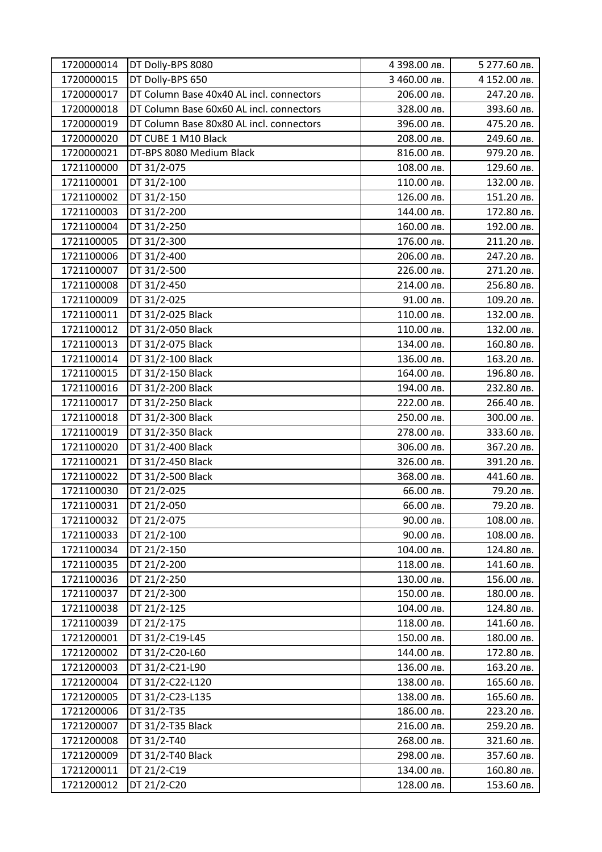| 1720000014 | DT Dolly-BPS 8080                        | 4 398.00 лв. | 5 277.60 лв. |
|------------|------------------------------------------|--------------|--------------|
| 1720000015 | DT Dolly-BPS 650                         | 3 460.00 лв. | 4 152.00 лв. |
| 1720000017 | DT Column Base 40x40 AL incl. connectors | 206.00 лв.   | 247.20 лв.   |
| 1720000018 | DT Column Base 60x60 AL incl. connectors | 328.00 лв.   | 393.60 лв.   |
| 1720000019 | DT Column Base 80x80 AL incl. connectors | 396.00 лв.   | 475.20 лв.   |
| 1720000020 | DT CUBE 1 M10 Black                      | 208.00 лв.   | 249.60 лв.   |
| 1720000021 | DT-BPS 8080 Medium Black                 | 816.00 лв.   | 979.20 лв.   |
| 1721100000 | DT 31/2-075                              | 108.00 лв.   | 129.60 лв.   |
| 1721100001 | DT 31/2-100                              | 110.00 лв.   | 132.00 лв.   |
| 1721100002 | DT 31/2-150                              | 126.00 лв.   | 151.20 лв.   |
| 1721100003 | DT 31/2-200                              | 144.00 лв.   | 172.80 лв.   |
| 1721100004 | DT 31/2-250                              | 160.00 лв.   | 192.00 лв.   |
| 1721100005 | DT 31/2-300                              | 176.00 лв.   | 211.20 лв.   |
| 1721100006 | DT 31/2-400                              | 206.00 лв.   | 247.20 лв.   |
| 1721100007 | DT 31/2-500                              | 226.00 лв.   | 271.20 лв.   |
| 1721100008 | DT 31/2-450                              | 214.00 лв.   | 256.80 лв.   |
| 1721100009 | DT 31/2-025                              | 91.00 лв.    | 109.20 лв.   |
| 1721100011 | DT 31/2-025 Black                        | 110.00 лв.   | 132.00 лв.   |
| 1721100012 | DT 31/2-050 Black                        | 110.00 лв.   | 132.00 лв.   |
| 1721100013 | DT 31/2-075 Black                        | 134.00 лв.   | 160.80 лв.   |
| 1721100014 | DT 31/2-100 Black                        | 136.00 лв.   | 163.20 лв.   |
| 1721100015 | DT 31/2-150 Black                        | 164.00 лв.   | 196.80 лв.   |
| 1721100016 | DT 31/2-200 Black                        | 194.00 лв.   | 232.80 лв.   |
| 1721100017 | DT 31/2-250 Black                        | 222.00 лв.   | 266.40 лв.   |
| 1721100018 | DT 31/2-300 Black                        | 250.00 лв.   | 300.00 лв.   |
| 1721100019 | DT 31/2-350 Black                        | 278.00 лв.   | 333.60 лв.   |
| 1721100020 | DT 31/2-400 Black                        | 306.00 лв.   | 367.20 лв.   |
| 1721100021 | DT 31/2-450 Black                        | 326.00 лв.   | 391.20 лв.   |
| 1721100022 | DT 31/2-500 Black                        | 368.00 лв.   | 441.60 лв.   |
| 1721100030 | DT 21/2-025                              | 66.00 лв.    | 79.20 лв.    |
| 1721100031 | DT 21/2-050                              | 66.00 лв.    | 79.20 лв.    |
| 1721100032 | DT 21/2-075                              | 90.00 лв.    | 108.00 лв.   |
| 1721100033 | DT 21/2-100                              | 90.00 лв.    | 108.00 лв.   |
| 1721100034 | DT 21/2-150                              | 104.00 лв.   | 124.80 лв.   |
| 1721100035 | DT 21/2-200                              | 118.00 лв.   | 141.60 лв.   |
| 1721100036 | DT 21/2-250                              | 130.00 лв.   | 156.00 лв.   |
| 1721100037 | DT 21/2-300                              | 150.00 лв.   | 180.00 лв.   |
| 1721100038 | DT 21/2-125                              | 104.00 лв.   | 124.80 лв.   |
| 1721100039 | DT 21/2-175                              | 118.00 лв.   | 141.60 лв.   |
| 1721200001 | DT 31/2-C19-L45                          | 150.00 лв.   | 180.00 лв.   |
| 1721200002 | DT 31/2-C20-L60                          | 144.00 лв.   | 172.80 лв.   |
| 1721200003 | DT 31/2-C21-L90                          | 136.00 лв.   | 163.20 лв.   |
| 1721200004 | DT 31/2-C22-L120                         | 138.00 лв.   | 165.60 лв.   |
| 1721200005 | DT 31/2-C23-L135                         | 138.00 лв.   | 165.60 лв.   |
| 1721200006 | DT 31/2-T35                              | 186.00 лв.   | 223.20 лв.   |
| 1721200007 | DT 31/2-T35 Black                        | 216.00 лв.   | 259.20 лв.   |
| 1721200008 | DT 31/2-T40                              | 268.00 лв.   | 321.60 лв.   |
| 1721200009 | DT 31/2-T40 Black                        | 298.00 лв.   | 357.60 лв.   |
| 1721200011 | DT 21/2-C19                              | 134.00 лв.   | 160.80 лв.   |
| 1721200012 | DT 21/2-C20                              | 128.00 лв.   | 153.60 лв.   |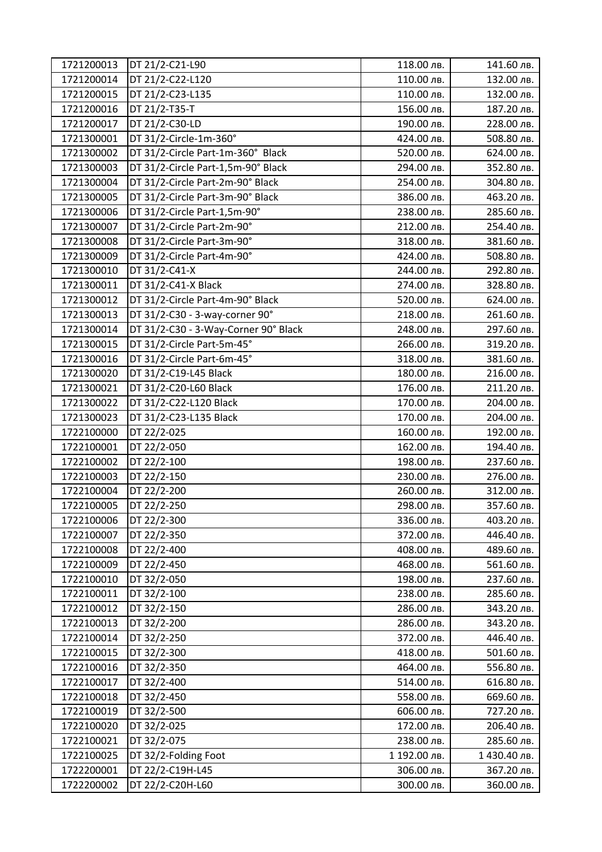| 1721200013 | DT 21/2-C21-L90                      | 118.00 лв.   | 141.60 лв.  |
|------------|--------------------------------------|--------------|-------------|
| 1721200014 | DT 21/2-C22-L120                     | 110.00 лв.   | 132.00 лв.  |
| 1721200015 | DT 21/2-C23-L135                     | 110.00 лв.   | 132.00 лв.  |
| 1721200016 | DT 21/2-T35-T                        | 156.00 лв.   | 187.20 лв.  |
| 1721200017 | DT 21/2-C30-LD                       | 190.00 лв.   | 228.00 лв.  |
| 1721300001 | DT 31/2-Circle-1m-360°               | 424.00 лв.   | 508.80 лв.  |
| 1721300002 | DT 31/2-Circle Part-1m-360° Black    | 520.00 лв.   | 624.00 лв.  |
| 1721300003 | DT 31/2-Circle Part-1,5m-90° Black   | 294.00 лв.   | 352.80 лв.  |
| 1721300004 | DT 31/2-Circle Part-2m-90° Black     | 254.00 лв.   | 304.80 лв.  |
| 1721300005 | DT 31/2-Circle Part-3m-90° Black     | 386.00 лв.   | 463.20 лв.  |
| 1721300006 | DT 31/2-Circle Part-1,5m-90°         | 238.00 лв.   | 285.60 лв.  |
| 1721300007 | DT 31/2-Circle Part-2m-90°           | 212.00 лв.   | 254.40 лв.  |
| 1721300008 | DT 31/2-Circle Part-3m-90°           | 318.00 лв.   | 381.60 лв.  |
| 1721300009 | DT 31/2-Circle Part-4m-90°           | 424.00 лв.   | 508.80 лв.  |
| 1721300010 | DT 31/2-C41-X                        | 244.00 лв.   | 292.80 лв.  |
| 1721300011 | DT 31/2-C41-X Black                  | 274.00 лв.   | 328.80 лв.  |
| 1721300012 | DT 31/2-Circle Part-4m-90° Black     | 520.00 лв.   | 624.00 лв.  |
| 1721300013 | DT 31/2-C30 - 3-way-corner 90°       | 218.00 лв.   | 261.60 лв.  |
| 1721300014 | DT 31/2-C30 - 3-Way-Corner 90° Black | 248.00 лв.   | 297.60 лв.  |
| 1721300015 | DT 31/2-Circle Part-5m-45°           | 266.00 лв.   | 319.20 лв.  |
| 1721300016 | DT 31/2-Circle Part-6m-45°           | 318.00 лв.   | 381.60 лв.  |
| 1721300020 | DT 31/2-C19-L45 Black                | 180.00 лв.   | 216.00 лв.  |
| 1721300021 | DT 31/2-C20-L60 Black                | 176.00 лв.   | 211.20 лв.  |
| 1721300022 | DT 31/2-C22-L120 Black               | 170.00 лв.   | 204.00 лв.  |
| 1721300023 | DT 31/2-C23-L135 Black               | 170.00 лв.   | 204.00 лв.  |
| 1722100000 | DT 22/2-025                          | 160.00 лв.   | 192.00 лв.  |
| 1722100001 | DT 22/2-050                          | 162.00 лв.   | 194.40 лв.  |
| 1722100002 | DT 22/2-100                          | 198.00 лв.   | 237.60 лв.  |
| 1722100003 | DT 22/2-150                          | 230.00 лв.   | 276.00 лв.  |
| 1722100004 | DT 22/2-200                          | 260.00 лв.   | 312.00 лв.  |
| 1722100005 | DT 22/2-250                          | 298.00 лв.   | 357.60 лв.  |
| 1722100006 | DT 22/2-300                          | 336.00 лв.   | 403.20 лв.  |
| 1722100007 | DT 22/2-350                          | 372.00 лв.   | 446.40 лв.  |
| 1722100008 | DT 22/2-400                          | 408.00 лв.   | 489.60 лв.  |
| 1722100009 | DT 22/2-450                          | 468.00 лв.   | 561.60 лв.  |
| 1722100010 | DT 32/2-050                          | 198.00 лв.   | 237.60 лв.  |
| 1722100011 | DT 32/2-100                          | 238.00 лв.   | 285.60 лв.  |
| 1722100012 | DT 32/2-150                          | 286.00 лв.   | 343.20 лв.  |
| 1722100013 | DT 32/2-200                          | 286.00 лв.   | 343.20 лв.  |
| 1722100014 | DT 32/2-250                          | 372.00 лв.   | 446.40 лв.  |
| 1722100015 | DT 32/2-300                          | 418.00 лв.   | 501.60 лв.  |
| 1722100016 | DT 32/2-350                          | 464.00 лв.   | 556.80 лв.  |
| 1722100017 | DT 32/2-400                          | 514.00 лв.   | 616.80 лв.  |
| 1722100018 | DT 32/2-450                          | 558.00 лв.   | 669.60 лв.  |
| 1722100019 | DT 32/2-500                          | 606.00 лв.   | 727.20 лв.  |
| 1722100020 | DT 32/2-025                          | 172.00 лв.   | 206.40 лв.  |
| 1722100021 | DT 32/2-075                          | 238.00 лв.   | 285.60 лв.  |
| 1722100025 | DT 32/2-Folding Foot                 | 1 192.00 лв. | 1430.40 лв. |
| 1722200001 | DT 22/2-C19H-L45                     | 306.00 лв.   | 367.20 лв.  |
| 1722200002 | DT 22/2-C20H-L60                     | 300.00 лв.   | 360.00 лв.  |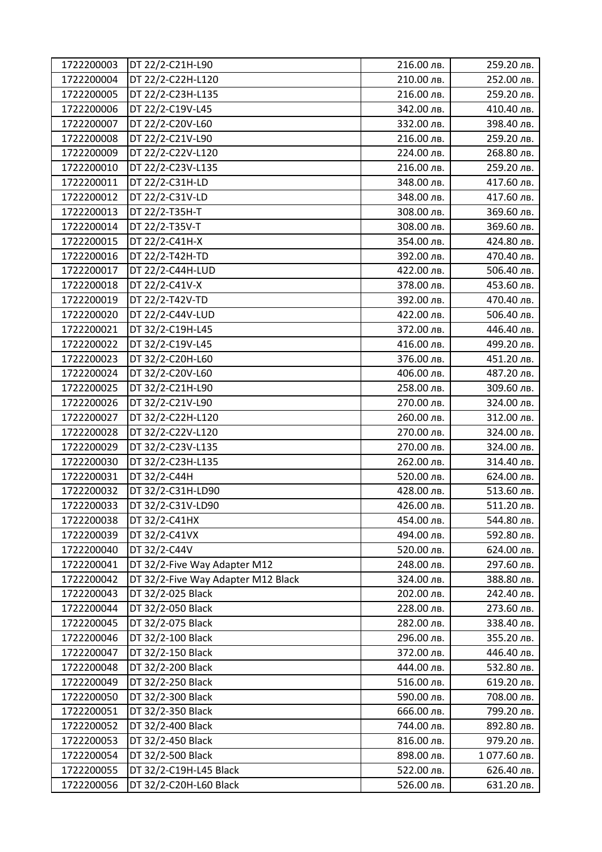| 1722200003 | DT 22/2-C21H-L90                   | 216.00 лв. | 259.20 лв.  |
|------------|------------------------------------|------------|-------------|
| 1722200004 | DT 22/2-C22H-L120                  | 210.00 лв. | 252.00 лв.  |
| 1722200005 | DT 22/2-C23H-L135                  | 216.00 лв. | 259.20 лв.  |
| 1722200006 | DT 22/2-C19V-L45                   | 342.00 лв. | 410.40 лв.  |
| 1722200007 | DT 22/2-C20V-L60                   | 332.00 лв. | 398.40 лв.  |
| 1722200008 | DT 22/2-C21V-L90                   | 216.00 лв. | 259.20 лв.  |
| 1722200009 | DT 22/2-C22V-L120                  | 224.00 лв. | 268.80 лв.  |
| 1722200010 | DT 22/2-C23V-L135                  | 216.00 лв. | 259.20 лв.  |
| 1722200011 | DT 22/2-C31H-LD                    | 348.00 лв. | 417.60 лв.  |
| 1722200012 | DT 22/2-C31V-LD                    | 348.00 лв. | 417.60 лв.  |
| 1722200013 | DT 22/2-T35H-T                     | 308.00 лв. | 369.60 лв.  |
| 1722200014 | DT 22/2-T35V-T                     | 308.00 лв. | 369.60 лв.  |
| 1722200015 | DT 22/2-C41H-X                     | 354.00 лв. | 424.80 лв.  |
| 1722200016 | DT 22/2-T42H-TD                    | 392.00 лв. | 470.40 лв.  |
| 1722200017 | DT 22/2-C44H-LUD                   | 422.00 лв. | 506.40 лв.  |
| 1722200018 | DT 22/2-C41V-X                     | 378.00 лв. | 453.60 лв.  |
| 1722200019 | DT 22/2-T42V-TD                    | 392.00 лв. | 470.40 лв.  |
| 1722200020 | DT 22/2-C44V-LUD                   | 422.00 лв. | 506.40 лв.  |
| 1722200021 | DT 32/2-C19H-L45                   | 372.00 лв. | 446.40 лв.  |
| 1722200022 | DT 32/2-C19V-L45                   | 416.00 лв. | 499.20 лв.  |
| 1722200023 | DT 32/2-C20H-L60                   | 376.00 лв. | 451.20 лв.  |
| 1722200024 | DT 32/2-C20V-L60                   | 406.00 лв. | 487.20 лв.  |
| 1722200025 | DT 32/2-C21H-L90                   | 258.00 лв. | 309.60 лв.  |
| 1722200026 | DT 32/2-C21V-L90                   | 270.00 лв. | 324.00 лв.  |
| 1722200027 | DT 32/2-C22H-L120                  | 260.00 лв. | 312.00 лв.  |
| 1722200028 | DT 32/2-C22V-L120                  | 270.00 лв. | 324.00 лв.  |
| 1722200029 | DT 32/2-C23V-L135                  | 270.00 лв. | 324.00 лв.  |
| 1722200030 | DT 32/2-C23H-L135                  | 262.00 лв. | 314.40 лв.  |
| 1722200031 | DT 32/2-C44H                       | 520.00 лв. | 624.00 лв.  |
| 1722200032 | DT 32/2-C31H-LD90                  | 428.00 лв. | 513.60 лв.  |
| 1722200033 | DT 32/2-C31V-LD90                  | 426.00 лв. | 511.20 лв.  |
| 1722200038 | DT 32/2-C41HX                      | 454.00 лв. | 544.80 лв.  |
| 1722200039 | DT 32/2-C41VX                      | 494.00 лв. | 592.80 лв.  |
| 1722200040 | DT 32/2-C44V                       | 520.00 лв. | 624.00 лв.  |
| 1722200041 | DT 32/2-Five Way Adapter M12       | 248.00 лв. | 297.60 лв.  |
| 1722200042 | DT 32/2-Five Way Adapter M12 Black | 324.00 лв. | 388.80 лв.  |
| 1722200043 | DT 32/2-025 Black                  | 202.00 лв. | 242.40 лв.  |
| 1722200044 | DT 32/2-050 Black                  | 228.00 лв. | 273.60 лв.  |
| 1722200045 | DT 32/2-075 Black                  | 282.00 лв. | 338.40 лв.  |
| 1722200046 | DT 32/2-100 Black                  | 296.00 лв. | 355.20 лв.  |
| 1722200047 | DT 32/2-150 Black                  | 372.00 лв. | 446.40 лв.  |
| 1722200048 | DT 32/2-200 Black                  | 444.00 лв. | 532.80 лв.  |
| 1722200049 | DT 32/2-250 Black                  | 516.00 лв. | 619.20 лв.  |
| 1722200050 | DT 32/2-300 Black                  | 590.00 лв. | 708.00 лв.  |
| 1722200051 | DT 32/2-350 Black                  | 666.00 лв. | 799.20 лв.  |
| 1722200052 | DT 32/2-400 Black                  | 744.00 лв. | 892.80 лв.  |
| 1722200053 | DT 32/2-450 Black                  | 816.00 лв. | 979.20 лв.  |
| 1722200054 | DT 32/2-500 Black                  | 898.00 лв. | 1077.60 лв. |
| 1722200055 | DT 32/2-C19H-L45 Black             | 522.00 лв. | 626.40 лв.  |
| 1722200056 | DT 32/2-C20H-L60 Black             | 526.00 лв. | 631.20 лв.  |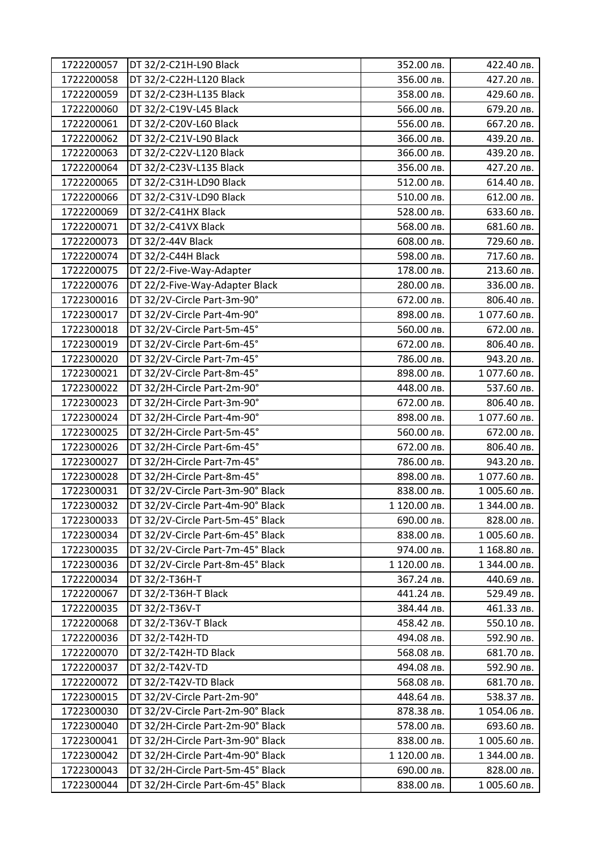| 1722200057 | DT 32/2-C21H-L90 Black            | 352.00 лв.   | 422.40 лв.   |
|------------|-----------------------------------|--------------|--------------|
| 1722200058 | DT 32/2-C22H-L120 Black           | 356.00 лв.   | 427.20 лв.   |
| 1722200059 | DT 32/2-C23H-L135 Black           | 358.00 лв.   | 429.60 лв.   |
| 1722200060 | DT 32/2-C19V-L45 Black            | 566.00 лв.   | 679.20 лв.   |
| 1722200061 | DT 32/2-C20V-L60 Black            | 556.00 лв.   | 667.20 лв.   |
| 1722200062 | DT 32/2-C21V-L90 Black            | 366.00 лв.   | 439.20 лв.   |
| 1722200063 | DT 32/2-C22V-L120 Black           | 366.00 лв.   | 439.20 лв.   |
| 1722200064 | DT 32/2-C23V-L135 Black           | 356.00 лв.   | 427.20 лв.   |
| 1722200065 | DT 32/2-C31H-LD90 Black           | 512.00 лв.   | 614.40 лв.   |
| 1722200066 | DT 32/2-C31V-LD90 Black           | 510.00 лв.   | 612.00 лв.   |
| 1722200069 | DT 32/2-C41HX Black               | 528.00 лв.   | 633.60 лв.   |
| 1722200071 | DT 32/2-C41VX Black               | 568.00 лв.   | 681.60 лв.   |
| 1722200073 | DT 32/2-44V Black                 | 608.00 лв.   | 729.60 лв.   |
| 1722200074 | DT 32/2-C44H Black                | 598.00 лв.   | 717.60 лв.   |
| 1722200075 | DT 22/2-Five-Way-Adapter          | 178.00 лв.   | 213.60 лв.   |
| 1722200076 | DT 22/2-Five-Way-Adapter Black    | 280.00 лв.   | 336.00 лв.   |
| 1722300016 | DT 32/2V-Circle Part-3m-90°       | 672.00 лв.   | 806.40 лв.   |
| 1722300017 | DT 32/2V-Circle Part-4m-90°       | 898.00 лв.   | 1077.60 лв.  |
| 1722300018 | DT 32/2V-Circle Part-5m-45°       | 560.00 лв.   | 672.00 лв.   |
| 1722300019 | DT 32/2V-Circle Part-6m-45°       | 672.00 лв.   | 806.40 лв.   |
| 1722300020 | DT 32/2V-Circle Part-7m-45°       | 786.00 лв.   | 943.20 лв.   |
| 1722300021 | DT 32/2V-Circle Part-8m-45°       | 898.00 лв.   | 1077.60 лв.  |
| 1722300022 | DT 32/2H-Circle Part-2m-90°       | 448.00 лв.   | 537.60 лв.   |
| 1722300023 | DT 32/2H-Circle Part-3m-90°       | 672.00 лв.   | 806.40 лв.   |
| 1722300024 | DT 32/2H-Circle Part-4m-90°       | 898.00 лв.   | 1077.60 лв.  |
| 1722300025 | DT 32/2H-Circle Part-5m-45°       | 560.00 лв.   | 672.00 лв.   |
| 1722300026 | DT 32/2H-Circle Part-6m-45°       | 672.00 лв.   | 806.40 лв.   |
| 1722300027 | DT 32/2H-Circle Part-7m-45°       | 786.00 лв.   | 943.20 лв.   |
| 1722300028 | DT 32/2H-Circle Part-8m-45°       | 898.00 лв.   | 1077.60 лв.  |
| 1722300031 | DT 32/2V-Circle Part-3m-90° Black | 838.00 лв.   | 1005.60 лв.  |
| 1722300032 | DT 32/2V-Circle Part-4m-90° Black | 1 120.00 лв. | 1 344.00 лв. |
| 1722300033 | DT 32/2V-Circle Part-5m-45° Black | 690.00 лв.   | 828.00 лв.   |
| 1722300034 | DT 32/2V-Circle Part-6m-45° Black | 838.00 лв.   | 1005.60 лв.  |
| 1722300035 | DT 32/2V-Circle Part-7m-45° Black | 974.00 лв.   | 1 168.80 лв. |
| 1722300036 | DT 32/2V-Circle Part-8m-45° Black | 1 120.00 лв. | 1 344.00 лв. |
| 1722200034 | DT 32/2-T36H-T                    | 367.24 лв.   | 440.69 лв.   |
| 1722200067 | DT 32/2-T36H-T Black              | 441.24 лв.   | 529.49 лв.   |
| 1722200035 | DT 32/2-T36V-T                    | 384.44 лв.   | 461.33 лв.   |
| 1722200068 | DT 32/2-T36V-T Black              | 458.42 лв.   | 550.10 лв.   |
| 1722200036 | DT 32/2-T42H-TD                   | 494.08 лв.   | 592.90 лв.   |
| 1722200070 | DT 32/2-T42H-TD Black             | 568.08 лв.   | 681.70 лв.   |
| 1722200037 | DT 32/2-T42V-TD                   | 494.08 лв.   | 592.90 лв.   |
| 1722200072 | DT 32/2-T42V-TD Black             | 568.08 лв.   | 681.70 лв.   |
| 1722300015 | DT 32/2V-Circle Part-2m-90°       | 448.64 лв.   | 538.37 лв.   |
| 1722300030 | DT 32/2V-Circle Part-2m-90° Black | 878.38 лв.   | 1054.06 лв.  |
| 1722300040 | DT 32/2H-Circle Part-2m-90° Black | 578.00 лв.   | 693.60 лв.   |
| 1722300041 | DT 32/2H-Circle Part-3m-90° Black | 838.00 лв.   | 1005.60 лв.  |
| 1722300042 | DT 32/2H-Circle Part-4m-90° Black | 1 120.00 лв. | 1 344.00 лв. |
| 1722300043 | DT 32/2H-Circle Part-5m-45° Black | 690.00 лв.   | 828.00 лв.   |
| 1722300044 | DT 32/2H-Circle Part-6m-45° Black | 838.00 лв.   | 1005.60 лв.  |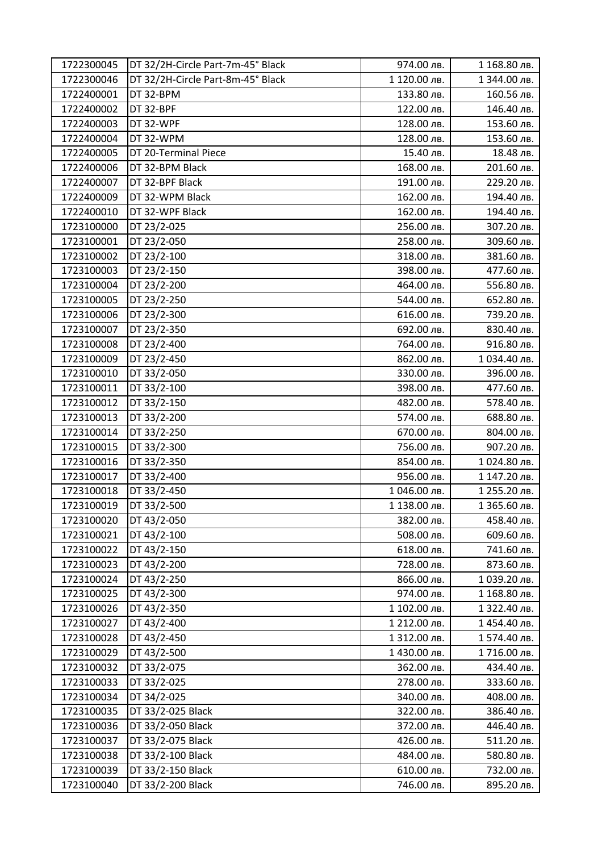| 1722300045 | DT 32/2H-Circle Part-7m-45° Black | 974.00 лв.   | 1 168.80 лв. |
|------------|-----------------------------------|--------------|--------------|
| 1722300046 | DT 32/2H-Circle Part-8m-45° Black | 1 120.00 лв. | 1 344.00 лв. |
| 1722400001 | DT 32-BPM                         | 133.80 лв.   | 160.56 лв.   |
| 1722400002 | DT 32-BPF                         | 122.00 лв.   | 146.40 лв.   |
| 1722400003 | DT 32-WPF                         | 128.00 лв.   | 153.60 лв.   |
| 1722400004 | DT 32-WPM                         | 128.00 лв.   | 153.60 лв.   |
| 1722400005 | DT 20-Terminal Piece              | 15.40 лв.    | 18.48 лв.    |
| 1722400006 | DT 32-BPM Black                   | 168.00 лв.   | 201.60 лв.   |
| 1722400007 | DT 32-BPF Black                   | 191.00 лв.   | 229.20 лв.   |
| 1722400009 | DT 32-WPM Black                   | 162.00 лв.   | 194.40 лв.   |
| 1722400010 | DT 32-WPF Black                   | 162.00 лв.   | 194.40 лв.   |
| 1723100000 | DT 23/2-025                       | 256.00 лв.   | 307.20 лв.   |
| 1723100001 | DT 23/2-050                       | 258.00 лв.   | 309.60 лв.   |
| 1723100002 | DT 23/2-100                       | 318.00 лв.   | 381.60 лв.   |
| 1723100003 | DT 23/2-150                       | 398.00 лв.   | 477.60 лв.   |
| 1723100004 | DT 23/2-200                       | 464.00 лв.   | 556.80 лв.   |
| 1723100005 | DT 23/2-250                       | 544.00 лв.   | 652.80 лв.   |
| 1723100006 | DT 23/2-300                       | 616.00 лв.   | 739.20 лв.   |
| 1723100007 | DT 23/2-350                       | 692.00 лв.   | 830.40 лв.   |
| 1723100008 | DT 23/2-400                       | 764.00 лв.   | 916.80 лв.   |
| 1723100009 | DT 23/2-450                       | 862.00 лв.   | 1034.40 лв.  |
| 1723100010 | DT 33/2-050                       | 330.00 лв.   | 396.00 лв.   |
| 1723100011 | DT 33/2-100                       | 398.00 лв.   | 477.60 лв.   |
| 1723100012 | DT 33/2-150                       | 482.00 лв.   | 578.40 лв.   |
| 1723100013 | DT 33/2-200                       | 574.00 лв.   | 688.80 лв.   |
| 1723100014 | DT 33/2-250                       | 670.00 лв.   | 804.00 лв.   |
| 1723100015 | DT 33/2-300                       | 756.00 лв.   | 907.20 лв.   |
| 1723100016 | DT 33/2-350                       | 854.00 лв.   | 1024.80 лв.  |
| 1723100017 | DT 33/2-400                       | 956.00 лв.   | 1 147.20 лв. |
| 1723100018 | DT 33/2-450                       | 1046.00 лв.  | 1 255.20 лв. |
| 1723100019 | DT 33/2-500                       | 1 138.00 лв. | 1 365.60 лв. |
| 1723100020 | DT 43/2-050                       | 382.00 лв.   | 458.40 лв.   |
| 1723100021 | DT 43/2-100                       | 508.00 лв.   | 609.60 лв.   |
| 1723100022 | DT 43/2-150                       | 618.00 лв.   | 741.60 лв.   |
| 1723100023 | DT 43/2-200                       | 728.00 лв.   | 873.60 лв.   |
| 1723100024 | DT 43/2-250                       | 866.00 лв.   | 1 039.20 лв. |
| 1723100025 | DT 43/2-300                       | 974.00 лв.   | 1 168.80 лв. |
| 1723100026 | DT 43/2-350                       | 1 102.00 лв. | 1 322.40 лв. |
| 1723100027 | DT 43/2-400                       | 1 212.00 лв. | 1454.40 лв.  |
| 1723100028 | DT 43/2-450                       | 1 312.00 лв. | 1574.40 лв.  |
| 1723100029 | DT 43/2-500                       | 1430.00 лв.  | 1716.00 лв.  |
| 1723100032 | DT 33/2-075                       | 362.00 лв.   | 434.40 лв.   |
| 1723100033 | DT 33/2-025                       | 278.00 лв.   | 333.60 лв.   |
| 1723100034 | DT 34/2-025                       | 340.00 лв.   | 408.00 лв.   |
| 1723100035 | DT 33/2-025 Black                 | 322.00 лв.   | 386.40 лв.   |
| 1723100036 | DT 33/2-050 Black                 | 372.00 лв.   | 446.40 лв.   |
| 1723100037 | DT 33/2-075 Black                 | 426.00 лв.   | 511.20 лв.   |
| 1723100038 | DT 33/2-100 Black                 | 484.00 лв.   | 580.80 лв.   |
| 1723100039 | DT 33/2-150 Black                 | 610.00 лв.   | 732.00 лв.   |
| 1723100040 | DT 33/2-200 Black                 | 746.00 лв.   | 895.20 лв.   |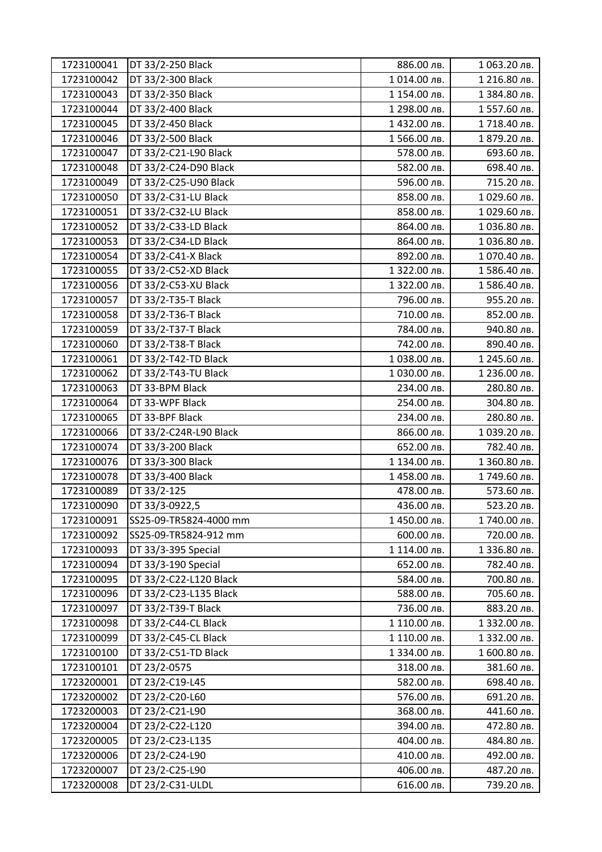| 1723100041 | DT 33/2-250 Black      | 886.00 лв.   | 1 063.20 лв. |
|------------|------------------------|--------------|--------------|
| 1723100042 | DT 33/2-300 Black      | 1014.00 лв.  | 1 216.80 лв. |
| 1723100043 | DT 33/2-350 Black      | 1 154.00 лв. | 1 384.80 лв. |
| 1723100044 | DT 33/2-400 Black      | 1 298.00 лв. | 1557.60 лв.  |
| 1723100045 | DT 33/2-450 Black      | 1432.00 лв.  | 1718.40 лв.  |
| 1723100046 | DT 33/2-500 Black      | 1566.00 лв.  | 1 879.20 лв. |
| 1723100047 | DT 33/2-C21-L90 Black  | 578.00 лв.   | 693.60 лв.   |
| 1723100048 | DT 33/2-C24-D90 Black  | 582.00 лв.   | 698.40 лв.   |
| 1723100049 | DT 33/2-C25-U90 Black  | 596.00 лв.   | 715.20 лв.   |
| 1723100050 | DT 33/2-C31-LU Black   | 858.00 лв.   | 1029.60 лв.  |
| 1723100051 | DT 33/2-C32-LU Black   | 858.00 лв.   | 1029.60 лв.  |
| 1723100052 | DT 33/2-C33-LD Black   | 864.00 лв.   | 1036.80 лв.  |
| 1723100053 | DT 33/2-C34-LD Black   | 864.00 лв.   | 1036.80 лв.  |
| 1723100054 | DT 33/2-C41-X Black    | 892.00 лв.   | 1070.40 лв.  |
| 1723100055 | DT 33/2-C52-XD Black   | 1 322.00 лв. | 1586.40 лв.  |
| 1723100056 | DT 33/2-C53-XU Black   | 1 322.00 лв. | 1586.40 лв.  |
| 1723100057 | DT 33/2-T35-T Black    | 796.00 лв.   | 955.20 лв.   |
| 1723100058 | DT 33/2-T36-T Black    | 710.00 лв.   | 852.00 лв.   |
| 1723100059 | DT 33/2-T37-T Black    | 784.00 лв.   | 940.80 лв.   |
| 1723100060 | DT 33/2-T38-T Black    | 742.00 лв.   | 890.40 лв.   |
| 1723100061 | DT 33/2-T42-TD Black   | 1038.00 лв.  | 1 245.60 лв. |
| 1723100062 | DT 33/2-T43-TU Black   | 1030.00 лв.  | 1 236.00 лв. |
| 1723100063 | DT 33-BPM Black        | 234.00 лв.   | 280.80 лв.   |
| 1723100064 | DT 33-WPF Black        | 254.00 лв.   | 304.80 лв.   |
| 1723100065 | DT 33-BPF Black        | 234.00 лв.   | 280.80 лв.   |
| 1723100066 | DT 33/2-C24R-L90 Black | 866.00 лв.   | 1039.20 лв.  |
| 1723100074 | DT 33/3-200 Black      | 652.00 лв.   | 782.40 лв.   |
| 1723100076 | DT 33/3-300 Black      | 1 134.00 лв. | 1 360.80 лв. |
| 1723100078 | DT 33/3-400 Black      | 1458.00 лв.  | 1749.60 лв.  |
| 1723100089 | DT 33/2-125            | 478.00 лв.   | 573.60 лв.   |
| 1723100090 | DT 33/3-0922,5         | 436.00 лв.   | 523.20 лв.   |
| 1723100091 | SS25-09-TR5824-4000 mm | 1450.00 лв.  | 1740.00 лв.  |
| 1723100092 | SS25-09-TR5824-912 mm  | 600.00 лв.   | 720.00 лв.   |
| 1723100093 | DT 33/3-395 Special    | 1 114.00 лв. | 1 336.80 лв. |
| 1723100094 | DT 33/3-190 Special    | 652.00 лв.   | 782.40 лв.   |
| 1723100095 | DT 33/2-C22-L120 Black | 584.00 лв.   | 700.80 лв.   |
| 1723100096 | DT 33/2-C23-L135 Black | 588.00 лв.   | 705.60 лв.   |
| 1723100097 | DT 33/2-T39-T Black    | 736.00 лв.   | 883.20 лв.   |
| 1723100098 | DT 33/2-C44-CL Black   | 1 110.00 лв. | 1 332.00 лв. |
| 1723100099 | DT 33/2-C45-CL Black   | 1 110.00 лв. | 1 332.00 лв. |
| 1723100100 | DT 33/2-C51-TD Black   | 1 334.00 лв. | 1 600.80 лв. |
| 1723100101 | DT 23/2-0575           | 318.00 лв.   | 381.60 лв.   |
| 1723200001 | DT 23/2-C19-L45        | 582.00 лв.   | 698.40 лв.   |
| 1723200002 | DT 23/2-C20-L60        | 576.00 лв.   | 691.20 лв.   |
| 1723200003 | DT 23/2-C21-L90        | 368.00 лв.   | 441.60 лв.   |
| 1723200004 | DT 23/2-C22-L120       | 394.00 лв.   | 472.80 лв.   |
| 1723200005 | DT 23/2-C23-L135       | 404.00 лв.   | 484.80 лв.   |
| 1723200006 | DT 23/2-C24-L90        | 410.00 лв.   | 492.00 лв.   |
| 1723200007 | DT 23/2-C25-L90        | 406.00 лв.   | 487.20 лв.   |
| 1723200008 | DT 23/2-C31-ULDL       | 616.00 лв.   | 739.20 лв.   |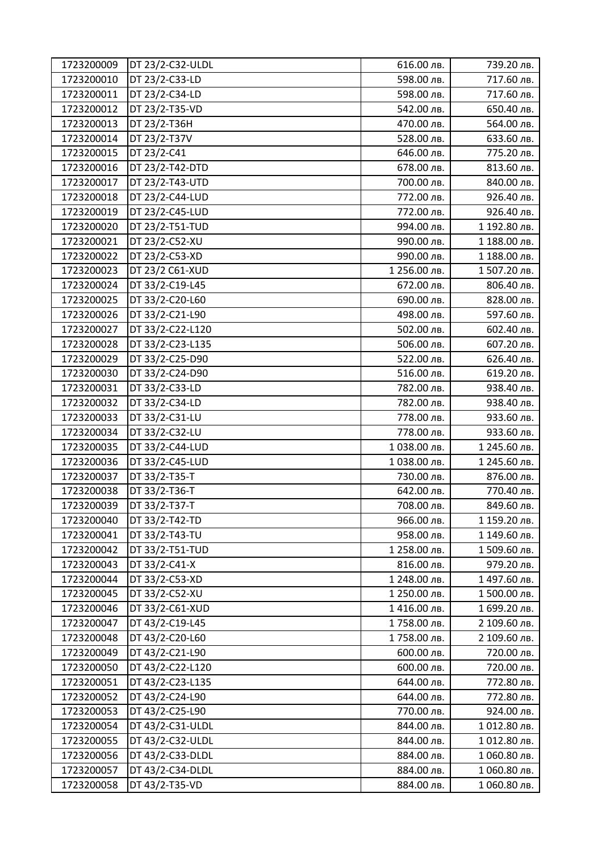| 1723200009 | DT 23/2-C32-ULDL | 616.00 лв.   | 739.20 лв.   |
|------------|------------------|--------------|--------------|
| 1723200010 | DT 23/2-C33-LD   | 598.00 лв.   | 717.60 лв.   |
| 1723200011 | DT 23/2-C34-LD   | 598.00 лв.   | 717.60 лв.   |
| 1723200012 | DT 23/2-T35-VD   | 542.00 лв.   | 650.40 лв.   |
| 1723200013 | DT 23/2-T36H     | 470.00 лв.   | 564.00 лв.   |
| 1723200014 | DT 23/2-T37V     | 528.00 лв.   | 633.60 лв.   |
| 1723200015 | DT 23/2-C41      | 646.00 лв.   | 775.20 лв.   |
| 1723200016 | DT 23/2-T42-DTD  | 678.00 лв.   | 813.60 лв.   |
| 1723200017 | DT 23/2-T43-UTD  | 700.00 лв.   | 840.00 лв.   |
| 1723200018 | DT 23/2-C44-LUD  | 772.00 лв.   | 926.40 лв.   |
| 1723200019 | DT 23/2-C45-LUD  | 772.00 лв.   | 926.40 лв.   |
| 1723200020 | DT 23/2-T51-TUD  | 994.00 лв.   | 1 192.80 лв. |
| 1723200021 | DT 23/2-C52-XU   | 990.00 лв.   | 1 188.00 лв. |
| 1723200022 | DT 23/2-C53-XD   | 990.00 лв.   | 1 188.00 лв. |
| 1723200023 | DT 23/2 C61-XUD  | 1 256.00 лв. | 1507.20 лв.  |
| 1723200024 | DT 33/2-C19-L45  | 672.00 лв.   | 806.40 лв.   |
| 1723200025 | DT 33/2-C20-L60  | 690.00 лв.   | 828.00 лв.   |
| 1723200026 | DT 33/2-C21-L90  | 498.00 лв.   | 597.60 лв.   |
| 1723200027 | DT 33/2-C22-L120 | 502.00 лв.   | 602.40 лв.   |
| 1723200028 | DT 33/2-C23-L135 | 506.00 лв.   | 607.20 лв.   |
| 1723200029 | DT 33/2-C25-D90  | 522.00 лв.   | 626.40 лв.   |
| 1723200030 | DT 33/2-C24-D90  | 516.00 лв.   | 619.20 лв.   |
| 1723200031 | DT 33/2-C33-LD   | 782.00 лв.   | 938.40 лв.   |
| 1723200032 | DT 33/2-C34-LD   | 782.00 лв.   | 938.40 лв.   |
| 1723200033 | DT 33/2-C31-LU   | 778.00 лв.   | 933.60 лв.   |
| 1723200034 | DT 33/2-C32-LU   | 778.00 лв.   | 933.60 лв.   |
| 1723200035 | DT 33/2-C44-LUD  | 1038.00 лв.  | 1 245.60 лв. |
| 1723200036 | DT 33/2-C45-LUD  | 1038.00 лв.  | 1 245.60 лв. |
| 1723200037 | DT 33/2-T35-T    | 730.00 лв.   | 876.00 лв.   |
| 1723200038 | DT 33/2-T36-T    | 642.00 лв.   | 770.40 лв.   |
| 1723200039 | DT 33/2-T37-T    | 708.00 лв.   | 849.60 лв.   |
| 1723200040 | DT 33/2-T42-TD   | 966.00 лв.   | 1 159.20 лв. |
| 1723200041 | DT 33/2-T43-TU   | 958.00 лв.   | 1 149.60 лв. |
| 1723200042 | DT 33/2-T51-TUD  | 1 258.00 лв. | 1509.60 лв.  |
| 1723200043 | DT 33/2-C41-X    | 816.00 лв.   | 979.20 лв.   |
| 1723200044 | DT 33/2-C53-XD   | 1 248.00 лв. | 1497.60 лв.  |
| 1723200045 | DT 33/2-C52-XU   | 1 250.00 лв. | 1500.00 лв.  |
| 1723200046 | DT 33/2-C61-XUD  | 1416.00 лв.  | 1 699.20 лв. |
| 1723200047 | DT 43/2-C19-L45  | 1758.00 лв.  | 2 109.60 лв. |
| 1723200048 | DT 43/2-C20-L60  | 1758.00 лв.  | 2 109.60 лв. |
| 1723200049 | DT 43/2-C21-L90  | 600.00 лв.   | 720.00 лв.   |
| 1723200050 | DT 43/2-C22-L120 | 600.00 лв.   | 720.00 лв.   |
| 1723200051 | DT 43/2-C23-L135 | 644.00 лв.   | 772.80 лв.   |
| 1723200052 | DT 43/2-C24-L90  | 644.00 лв.   | 772.80 лв.   |
| 1723200053 | DT 43/2-C25-L90  | 770.00 лв.   | 924.00 лв.   |
| 1723200054 | DT 43/2-C31-ULDL | 844.00 лв.   | 1012.80 лв.  |
| 1723200055 | DT 43/2-C32-ULDL | 844.00 лв.   | 1012.80 лв.  |
| 1723200056 | DT 43/2-C33-DLDL | 884.00 лв.   | 1060.80 лв.  |
| 1723200057 | DT 43/2-C34-DLDL | 884.00 лв.   | 1060.80 лв.  |
| 1723200058 | DT 43/2-T35-VD   | 884.00 лв.   | 1 060.80 лв. |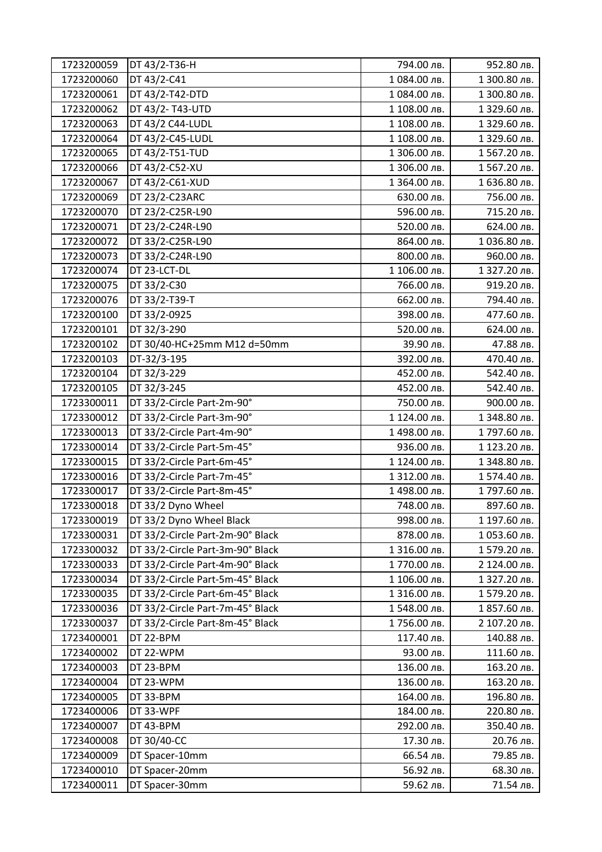| 1723200059 | DT 43/2-T36-H                    | 794.00 лв.   | 952.80 лв.   |
|------------|----------------------------------|--------------|--------------|
| 1723200060 | DT 43/2-C41                      | 1084.00 лв.  | 1 300.80 лв. |
| 1723200061 | DT 43/2-T42-DTD                  | 1 084.00 лв. | 1 300.80 лв. |
| 1723200062 | DT 43/2-T43-UTD                  | 1 108.00 лв. | 1 329.60 лв. |
| 1723200063 | DT 43/2 C44-LUDL                 | 1 108.00 лв. | 1 329.60 лв. |
| 1723200064 | DT 43/2-C45-LUDL                 | 1 108.00 лв. | 1 329.60 лв. |
| 1723200065 | DT 43/2-T51-TUD                  | 1 306.00 лв. | 1567.20 лв.  |
| 1723200066 | DT 43/2-C52-XU                   | 1 306.00 лв. | 1567.20 лв.  |
| 1723200067 | DT 43/2-C61-XUD                  | 1 364.00 лв. | 1 636.80 лв. |
| 1723200069 | DT 23/2-C23ARC                   | 630.00 лв.   | 756.00 лв.   |
| 1723200070 | DT 23/2-C25R-L90                 | 596.00 лв.   | 715.20 лв.   |
| 1723200071 | DT 23/2-C24R-L90                 | 520.00 лв.   | 624.00 лв.   |
| 1723200072 | DT 33/2-C25R-L90                 | 864.00 лв.   | 1036.80 лв.  |
| 1723200073 | DT 33/2-C24R-L90                 | 800.00 лв.   | 960.00 лв.   |
| 1723200074 | DT 23-LCT-DL                     | 1 106.00 лв. | 1 327.20 лв. |
| 1723200075 | DT 33/2-C30                      | 766.00 лв.   | 919.20 лв.   |
| 1723200076 | DT 33/2-T39-T                    | 662.00 лв.   | 794.40 лв.   |
| 1723200100 | DT 33/2-0925                     | 398.00 лв.   | 477.60 лв.   |
| 1723200101 | DT 32/3-290                      | 520.00 лв.   | 624.00 лв.   |
| 1723200102 | DT 30/40-HC+25mm M12 d=50mm      | 39.90 лв.    | 47.88 лв.    |
| 1723200103 | DT-32/3-195                      | 392.00 лв.   | 470.40 лв.   |
| 1723200104 | DT 32/3-229                      | 452.00 лв.   | 542.40 лв.   |
| 1723200105 | DT 32/3-245                      | 452.00 лв.   | 542.40 лв.   |
| 1723300011 | DT 33/2-Circle Part-2m-90°       | 750.00 лв.   | 900.00 лв.   |
| 1723300012 | DT 33/2-Circle Part-3m-90°       | 1 124.00 лв. | 1 348.80 лв. |
| 1723300013 | DT 33/2-Circle Part-4m-90°       | 1498.00 лв.  | 1797.60 лв.  |
| 1723300014 | DT 33/2-Circle Part-5m-45°       | 936.00 лв.   | 1 123.20 лв. |
| 1723300015 | DT 33/2-Circle Part-6m-45°       | 1 124.00 лв. | 1 348.80 лв. |
| 1723300016 | DT 33/2-Circle Part-7m-45°       | 1 312.00 лв. | 1574.40 лв.  |
| 1723300017 | DT 33/2-Circle Part-8m-45°       | 1498.00 лв.  | 1797.60 лв.  |
| 1723300018 | DT 33/2 Dyno Wheel               | 748.00 лв.   | 897.60 лв.   |
| 1723300019 | DT 33/2 Dyno Wheel Black         | 998.00 лв.   | 1 197.60 лв. |
| 1723300031 | DT 33/2-Circle Part-2m-90° Black | 878.00 лв.   | 1053.60 лв.  |
| 1723300032 | DT 33/2-Circle Part-3m-90° Black | 1 316.00 лв. | 1579.20 лв.  |
| 1723300033 | DT 33/2-Circle Part-4m-90° Black | 1770.00 лв.  | 2 124.00 лв. |
| 1723300034 | DT 33/2-Circle Part-5m-45° Black | 1 106.00 лв. | 1 327.20 лв. |
| 1723300035 | DT 33/2-Circle Part-6m-45° Black | 1 316.00 лв. | 1579.20 лв.  |
| 1723300036 | DT 33/2-Circle Part-7m-45° Black | 1548.00 лв.  | 1 857.60 лв. |
| 1723300037 | DT 33/2-Circle Part-8m-45° Black | 1756.00 лв.  | 2 107.20 лв. |
| 1723400001 | DT 22-BPM                        | 117.40 лв.   | 140.88 лв.   |
| 1723400002 | DT 22-WPM                        | 93.00 лв.    | 111.60 лв.   |
| 1723400003 | DT 23-BPM                        | 136.00 лв.   | 163.20 лв.   |
| 1723400004 | DT 23-WPM                        | 136.00 лв.   | 163.20 лв.   |
| 1723400005 | DT 33-BPM                        | 164.00 лв.   | 196.80 лв.   |
| 1723400006 | DT 33-WPF                        | 184.00 лв.   | 220.80 лв.   |
| 1723400007 | DT 43-BPM                        | 292.00 лв.   | 350.40 лв.   |
| 1723400008 | DT 30/40-CC                      | 17.30 лв.    | 20.76 лв.    |
| 1723400009 | DT Spacer-10mm                   | 66.54 лв.    | 79.85 лв.    |
| 1723400010 | DT Spacer-20mm                   | 56.92 лв.    | 68.30 лв.    |
| 1723400011 | DT Spacer-30mm                   | 59.62 лв.    | 71.54 лв.    |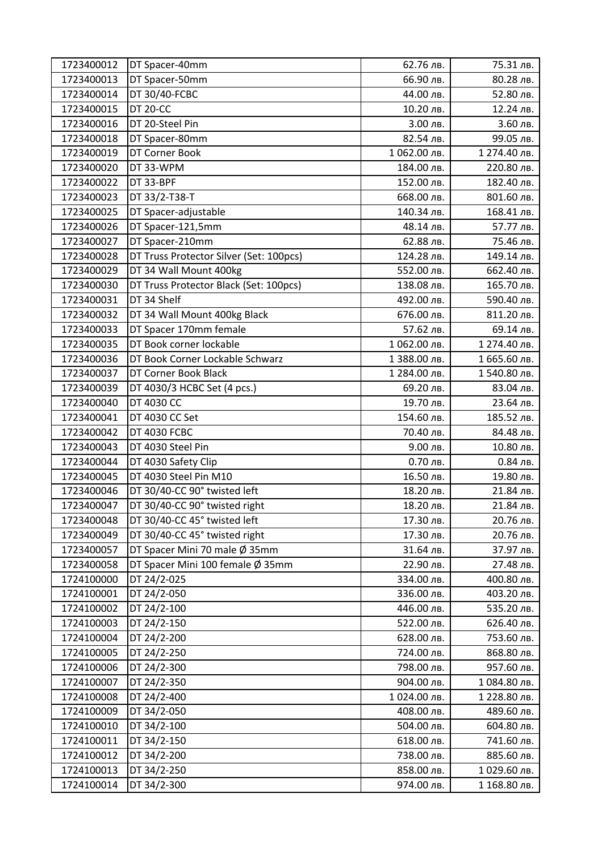| 1723400012 | DT Spacer-40mm                          | 62.76 лв.    | 75.31 лв.    |
|------------|-----------------------------------------|--------------|--------------|
| 1723400013 | DT Spacer-50mm                          | 66.90 лв.    | 80.28 лв.    |
| 1723400014 | DT 30/40-FCBC                           | 44.00 лв.    | 52.80 лв.    |
| 1723400015 | <b>DT 20-CC</b>                         | 10.20 лв.    | 12.24 лв.    |
| 1723400016 | DT 20-Steel Pin                         | 3.00 лв.     | 3.60 лв.     |
| 1723400018 | DT Spacer-80mm                          | 82.54 лв.    | 99.05 лв.    |
| 1723400019 | DT Corner Book                          | 1 062.00 лв. | 1 274.40 лв. |
| 1723400020 | DT 33-WPM                               | 184.00 лв.   | 220.80 лв.   |
| 1723400022 | DT 33-BPF                               | 152.00 лв.   | 182.40 лв.   |
| 1723400023 | DT 33/2-T38-T                           | 668.00 лв.   | 801.60 лв.   |
| 1723400025 | DT Spacer-adjustable                    | 140.34 лв.   | 168.41 лв.   |
| 1723400026 | DT Spacer-121,5mm                       | 48.14 лв.    | 57.77 лв.    |
| 1723400027 | DT Spacer-210mm                         | 62.88 лв.    | 75.46 лв.    |
| 1723400028 | DT Truss Protector Silver (Set: 100pcs) | 124.28 лв.   | 149.14 лв.   |
| 1723400029 | DT 34 Wall Mount 400kg                  | 552.00 лв.   | 662.40 лв.   |
| 1723400030 | DT Truss Protector Black (Set: 100pcs)  | 138.08 лв.   | 165.70 лв.   |
| 1723400031 | DT 34 Shelf                             | 492.00 лв.   | 590.40 лв.   |
| 1723400032 | DT 34 Wall Mount 400kg Black            | 676.00 лв.   | 811.20 лв.   |
| 1723400033 | DT Spacer 170mm female                  | 57.62 лв.    | 69.14 лв.    |
| 1723400035 | DT Book corner lockable                 | 1 062.00 лв. | 1 274.40 лв. |
| 1723400036 | DT Book Corner Lockable Schwarz         | 1 388.00 лв. | 1 665.60 лв. |
| 1723400037 | DT Corner Book Black                    | 1 284.00 лв. | 1540.80 лв.  |
| 1723400039 | DT 4030/3 HCBC Set (4 pcs.)             | 69.20 лв.    | 83.04 лв.    |
| 1723400040 | DT 4030 CC                              | 19.70 лв.    | 23.64 лв.    |
| 1723400041 | DT 4030 CC Set                          | 154.60 лв.   | 185.52 лв.   |
| 1723400042 | <b>DT 4030 FCBC</b>                     | 70.40 лв.    | 84.48 лв.    |
| 1723400043 | DT 4030 Steel Pin                       | 9.00 лв.     | 10.80 лв.    |
| 1723400044 | DT 4030 Safety Clip                     | 0.70 лв.     | 0.84 лв.     |
| 1723400045 | DT 4030 Steel Pin M10                   | 16.50 лв.    | 19.80 лв.    |
| 1723400046 | DT 30/40-CC 90° twisted left            | 18.20 лв.    | 21.84 лв.    |
| 1723400047 | DT 30/40-CC 90° twisted right           | 18.20 лв.    | 21.84 лв.    |
| 1723400048 | DT 30/40-CC 45° twisted left            | 17.30 лв.    | 20.76 лв.    |
| 1723400049 | DT 30/40-CC 45° twisted right           | 17.30 лв.    | 20.76 лв.    |
| 1723400057 | DT Spacer Mini 70 male Ø 35mm           | 31.64 лв.    | 37.97 лв.    |
| 1723400058 | DT Spacer Mini 100 female Ø 35mm        | 22.90 лв.    | 27.48 лв.    |
| 1724100000 | DT 24/2-025                             | 334.00 лв.   | 400.80 лв.   |
| 1724100001 | DT 24/2-050                             | 336.00 лв.   | 403.20 лв.   |
| 1724100002 | DT 24/2-100                             | 446.00 лв.   | 535.20 лв.   |
| 1724100003 | DT 24/2-150                             | 522.00 лв.   | 626.40 лв.   |
| 1724100004 | DT 24/2-200                             | 628.00 лв.   | 753.60 лв.   |
| 1724100005 | DT 24/2-250                             | 724.00 лв.   | 868.80 лв.   |
| 1724100006 | DT 24/2-300                             | 798.00 лв.   | 957.60 лв.   |
| 1724100007 | DT 24/2-350                             | 904.00 лв.   | 1084.80 лв.  |
| 1724100008 | DT 24/2-400                             | 1024.00 лв.  | 1 228.80 лв. |
| 1724100009 | DT 34/2-050                             | 408.00 лв.   | 489.60 лв.   |
| 1724100010 | DT 34/2-100                             | 504.00 лв.   | 604.80 лв.   |
| 1724100011 | DT 34/2-150                             | 618.00 лв.   | 741.60 лв.   |
| 1724100012 | DT 34/2-200                             | 738.00 лв.   | 885.60 лв.   |
| 1724100013 | DT 34/2-250                             | 858.00 лв.   | 1029.60 лв.  |
| 1724100014 | DT 34/2-300                             | 974.00 лв.   | 1 168.80 лв. |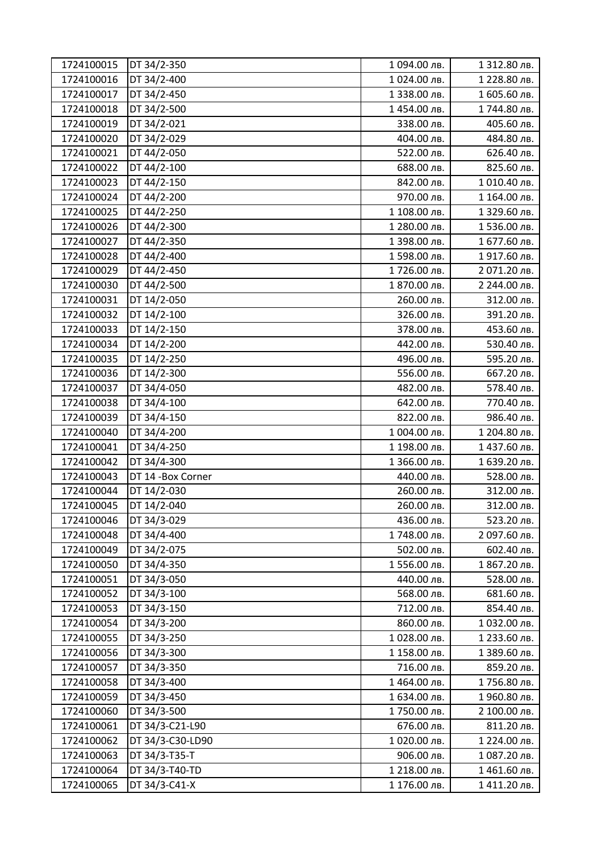| 1724100015 | DT 34/2-350        | 1 094.00 лв. | 1 312.80 лв. |
|------------|--------------------|--------------|--------------|
| 1724100016 | DT 34/2-400        | 1024.00 лв.  | 1 228.80 лв. |
| 1724100017 | DT 34/2-450        | 1 338.00 лв. | 1 605.60 лв. |
| 1724100018 | DT 34/2-500        | 1454.00 лв.  | 1744.80 лв.  |
| 1724100019 | DT 34/2-021        | 338.00 лв.   | 405.60 лв.   |
| 1724100020 | DT 34/2-029        | 404.00 лв.   | 484.80 лв.   |
| 1724100021 | DT 44/2-050        | 522.00 лв.   | 626.40 лв.   |
| 1724100022 | DT 44/2-100        | 688.00 лв.   | 825.60 лв.   |
| 1724100023 | DT 44/2-150        | 842.00 лв.   | 1010.40 лв.  |
| 1724100024 | DT 44/2-200        | 970.00 лв.   | 1 164.00 лв. |
| 1724100025 | DT 44/2-250        | 1 108.00 лв. | 1 329.60 лв. |
| 1724100026 | DT 44/2-300        | 1 280.00 лв. | 1536.00 лв.  |
| 1724100027 | DT 44/2-350        | 1 398.00 лв. | 1 677.60 лв. |
| 1724100028 | DT 44/2-400        | 1598.00 лв.  | 1917.60 лв.  |
| 1724100029 | DT 44/2-450        | 1726.00 лв.  | 2 071.20 лв. |
| 1724100030 | DT 44/2-500        | 1 870.00 лв. | 2 244.00 лв. |
| 1724100031 | DT 14/2-050        | 260.00 лв.   | 312.00 лв.   |
| 1724100032 | DT 14/2-100        | 326.00 лв.   | 391.20 лв.   |
| 1724100033 | DT 14/2-150        | 378.00 лв.   | 453.60 лв.   |
| 1724100034 | DT 14/2-200        | 442.00 лв.   | 530.40 лв.   |
| 1724100035 | DT 14/2-250        | 496.00 лв.   | 595.20 лв.   |
| 1724100036 | DT 14/2-300        | 556.00 лв.   | 667.20 лв.   |
| 1724100037 | DT 34/4-050        | 482.00 лв.   | 578.40 лв.   |
| 1724100038 | DT 34/4-100        | 642.00 лв.   | 770.40 лв.   |
| 1724100039 | DT 34/4-150        | 822.00 лв.   | 986.40 лв.   |
| 1724100040 | DT 34/4-200        | 1 004.00 лв. | 1 204.80 лв. |
| 1724100041 | DT 34/4-250        | 1 198.00 лв. | 1437.60 лв.  |
| 1724100042 | DT 34/4-300        | 1 366.00 лв. | 1 639.20 лв. |
| 1724100043 | DT 14 - Box Corner | 440.00 лв.   | 528.00 лв.   |
| 1724100044 | DT 14/2-030        | 260.00 лв.   | 312.00 лв.   |
| 1724100045 | DT 14/2-040        | 260.00 лв.   | 312.00 лв.   |
| 1724100046 | DT 34/3-029        | 436.00 лв.   | 523.20 лв.   |
| 1724100048 | DT 34/4-400        | 1748.00 лв.  | 2 097.60 лв. |
| 1724100049 | DT 34/2-075        | 502.00 лв.   | 602.40 лв.   |
| 1724100050 | DT 34/4-350        | 1556.00 лв.  | 1 867.20 лв. |
| 1724100051 | DT 34/3-050        | 440.00 лв.   | 528.00 лв.   |
| 1724100052 | DT 34/3-100        | 568.00 лв.   | 681.60 лв.   |
| 1724100053 | DT 34/3-150        | 712.00 лв.   | 854.40 лв.   |
| 1724100054 | DT 34/3-200        | 860.00 лв.   | 1032.00 лв.  |
| 1724100055 | DT 34/3-250        | 1028.00 лв.  | 1 233.60 лв. |
| 1724100056 | DT 34/3-300        | 1 158.00 лв. | 1 389.60 лв. |
| 1724100057 | DT 34/3-350        | 716.00 лв.   | 859.20 лв.   |
| 1724100058 | DT 34/3-400        | 1464.00 лв.  | 1756.80 лв.  |
| 1724100059 | DT 34/3-450        | 1 634.00 лв. | 1960.80 лв.  |
| 1724100060 | DT 34/3-500        | 1750.00 лв.  | 2 100.00 лв. |
| 1724100061 | DT 34/3-C21-L90    | 676.00 лв.   | 811.20 лв.   |
| 1724100062 | DT 34/3-C30-LD90   | 1020.00 лв.  | 1 224.00 лв. |
| 1724100063 | DT 34/3-T35-T      | 906.00 лв.   | 1087.20 лв.  |
| 1724100064 | DT 34/3-T40-TD     | 1 218.00 лв. | 1461.60 лв.  |
| 1724100065 | DT 34/3-C41-X      | 1 176.00 лв. | 1411.20 лв.  |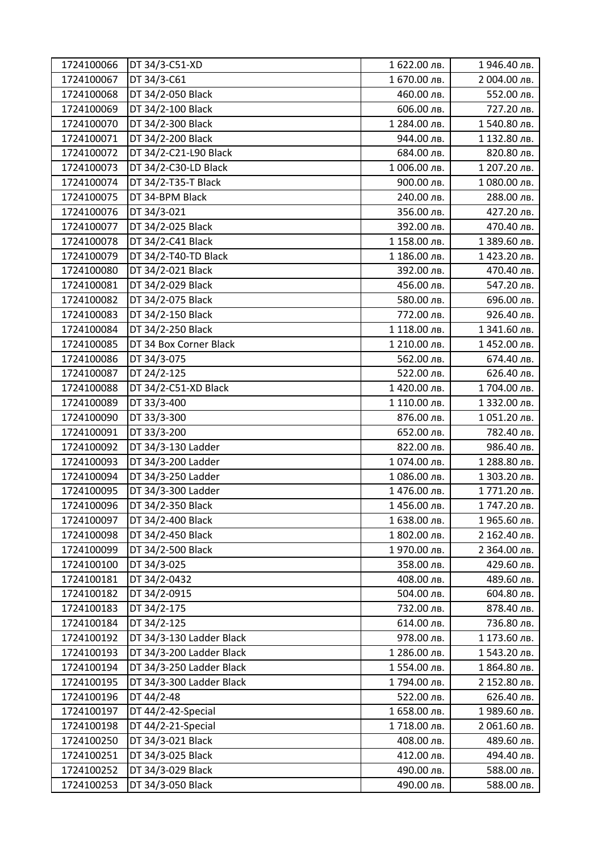| 1724100066 | DT 34/3-C51-XD           | 1 622.00 лв. | 1946.40 лв.  |
|------------|--------------------------|--------------|--------------|
| 1724100067 | DT 34/3-C61              | 1 670.00 лв. | 2 004.00 лв. |
| 1724100068 | DT 34/2-050 Black        | 460.00 лв.   | 552.00 лв.   |
| 1724100069 | DT 34/2-100 Black        | 606.00 лв.   | 727.20 лв.   |
| 1724100070 | DT 34/2-300 Black        | 1 284.00 лв. | 1540.80 лв.  |
| 1724100071 | DT 34/2-200 Black        | 944.00 лв.   | 1 132.80 лв. |
| 1724100072 | DT 34/2-C21-L90 Black    | 684.00 лв.   | 820.80 лв.   |
| 1724100073 | DT 34/2-C30-LD Black     | 1006.00 лв.  | 1 207.20 лв. |
| 1724100074 | DT 34/2-T35-T Black      | 900.00 лв.   | 1080.00 лв.  |
| 1724100075 | DT 34-BPM Black          | 240.00 лв.   | 288.00 лв.   |
| 1724100076 | DT 34/3-021              | 356.00 лв.   | 427.20 лв.   |
| 1724100077 | DT 34/2-025 Black        | 392.00 лв.   | 470.40 лв.   |
| 1724100078 | DT 34/2-C41 Black        | 1 158.00 лв. | 1 389.60 лв. |
| 1724100079 | DT 34/2-T40-TD Black     | 1 186.00 лв. | 1423.20 лв.  |
| 1724100080 | DT 34/2-021 Black        | 392.00 лв.   | 470.40 лв.   |
| 1724100081 | DT 34/2-029 Black        | 456.00 лв.   | 547.20 лв.   |
| 1724100082 | DT 34/2-075 Black        | 580.00 лв.   | 696.00 лв.   |
| 1724100083 | DT 34/2-150 Black        | 772.00 лв.   | 926.40 лв.   |
| 1724100084 | DT 34/2-250 Black        | 1 118.00 лв. | 1 341.60 лв. |
| 1724100085 | DT 34 Box Corner Black   | 1 210.00 лв. | 1452.00 лв.  |
| 1724100086 | DT 34/3-075              | 562.00 лв.   | 674.40 лв.   |
| 1724100087 | DT 24/2-125              | 522.00 лв.   | 626.40 лв.   |
| 1724100088 | DT 34/2-C51-XD Black     | 1420.00 лв.  | 1704.00 лв.  |
| 1724100089 | DT 33/3-400              | 1 110.00 лв. | 1 332.00 лв. |
| 1724100090 | DT 33/3-300              | 876.00 лв.   | 1051.20 лв.  |
| 1724100091 | DT 33/3-200              | 652.00 лв.   | 782.40 лв.   |
| 1724100092 | DT 34/3-130 Ladder       | 822.00 лв.   | 986.40 лв.   |
| 1724100093 | DT 34/3-200 Ladder       | 1074.00 лв.  | 1 288.80 лв. |
| 1724100094 | DT 34/3-250 Ladder       | 1086.00 лв.  | 1 303.20 лв. |
| 1724100095 | DT 34/3-300 Ladder       | 1476.00 лв.  | 1771.20 лв.  |
| 1724100096 | DT 34/2-350 Black        | 1456.00 лв.  | 1747.20 лв.  |
| 1724100097 | DT 34/2-400 Black        | 1 638.00 лв. | 1965.60 лв.  |
| 1724100098 | DT 34/2-450 Black        | 1 802.00 лв. | 2 162.40 лв. |
| 1724100099 | DT 34/2-500 Black        | 1970.00 лв.  | 2 364.00 лв. |
| 1724100100 | DT 34/3-025              | 358.00 лв.   | 429.60 лв.   |
| 1724100181 | DT 34/2-0432             | 408.00 лв.   | 489.60 лв.   |
| 1724100182 | DT 34/2-0915             | 504.00 лв.   | 604.80 лв.   |
| 1724100183 | DT 34/2-175              | 732.00 лв.   | 878.40 лв.   |
| 1724100184 | DT 34/2-125              | 614.00 лв.   | 736.80 лв.   |
| 1724100192 | DT 34/3-130 Ladder Black | 978.00 лв.   | 1 173.60 лв. |
| 1724100193 | DT 34/3-200 Ladder Black | 1 286.00 лв. | 1543.20 лв.  |
| 1724100194 | DT 34/3-250 Ladder Black | 1554.00 лв.  | 1 864.80 лв. |
| 1724100195 | DT 34/3-300 Ladder Black | 1794.00 лв.  | 2 152.80 лв. |
| 1724100196 | DT 44/2-48               | 522.00 лв.   | 626.40 лв.   |
| 1724100197 | DT 44/2-42-Special       | 1 658.00 лв. | 1989.60 лв.  |
| 1724100198 | DT 44/2-21-Special       | 1718.00 лв.  | 2 061.60 лв. |
| 1724100250 | DT 34/3-021 Black        | 408.00 лв.   | 489.60 лв.   |
| 1724100251 | DT 34/3-025 Black        | 412.00 лв.   | 494.40 лв.   |
| 1724100252 | DT 34/3-029 Black        | 490.00 лв.   | 588.00 лв.   |
| 1724100253 | DT 34/3-050 Black        | 490.00 лв.   | 588.00 лв.   |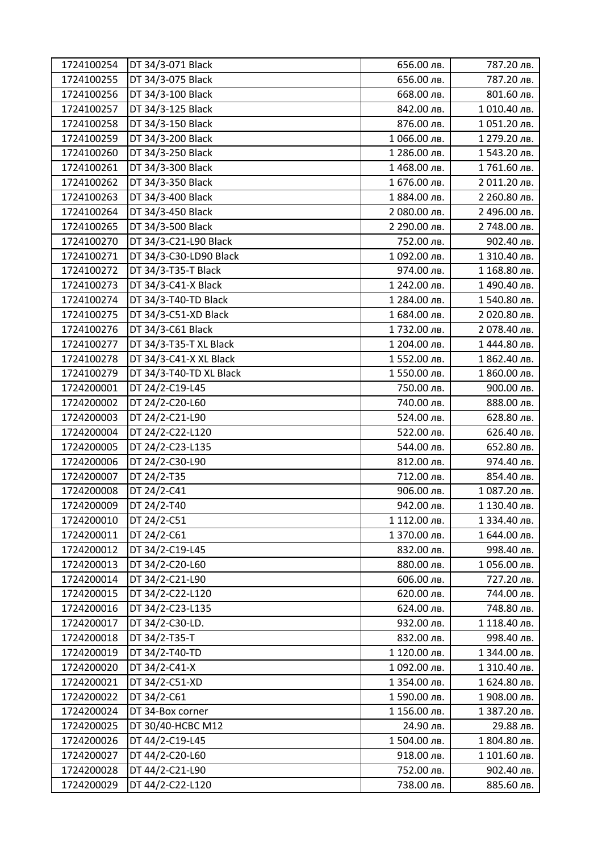| 1724100254 | DT 34/3-071 Black       | 656.00 лв.   | 787.20 лв.   |
|------------|-------------------------|--------------|--------------|
| 1724100255 | DT 34/3-075 Black       | 656.00 лв.   | 787.20 лв.   |
| 1724100256 | DT 34/3-100 Black       | 668.00 лв.   | 801.60 лв.   |
| 1724100257 | DT 34/3-125 Black       | 842.00 лв.   | 1010.40 лв.  |
| 1724100258 | DT 34/3-150 Black       | 876.00 лв.   | 1051.20 лв.  |
| 1724100259 | DT 34/3-200 Black       | 1066.00 лв.  | 1 279.20 лв. |
| 1724100260 | DT 34/3-250 Black       | 1 286.00 лв. | 1543.20 лв.  |
| 1724100261 | DT 34/3-300 Black       | 1468.00 лв.  | 1761.60 лв.  |
| 1724100262 | DT 34/3-350 Black       | 1 676.00 лв. | 2 011.20 лв. |
| 1724100263 | DT 34/3-400 Black       | 1 884.00 лв. | 2 260.80 лв. |
| 1724100264 | DT 34/3-450 Black       | 2 080.00 лв. | 2 496.00 лв. |
| 1724100265 | DT 34/3-500 Black       | 2 290.00 лв. | 2 748.00 лв. |
| 1724100270 | DT 34/3-C21-L90 Black   | 752.00 лв.   | 902.40 лв.   |
| 1724100271 | DT 34/3-C30-LD90 Black  | 1092.00 лв.  | 1 310.40 лв. |
| 1724100272 | DT 34/3-T35-T Black     | 974.00 лв.   | 1 168.80 лв. |
| 1724100273 | DT 34/3-C41-X Black     | 1 242.00 лв. | 1490.40 лв.  |
| 1724100274 | DT 34/3-T40-TD Black    | 1 284.00 лв. | 1540.80 лв.  |
| 1724100275 | DT 34/3-C51-XD Black    | 1 684.00 лв. | 2 020.80 лв. |
| 1724100276 | DT 34/3-C61 Black       | 1732.00 лв.  | 2 078.40 лв. |
| 1724100277 | DT 34/3-T35-T XL Black  | 1 204.00 лв. | 1444.80 лв.  |
| 1724100278 | DT 34/3-C41-X XL Black  | 1552.00 лв.  | 1 862.40 лв. |
| 1724100279 | DT 34/3-T40-TD XL Black | 1550.00 лв.  | 1 860.00 лв. |
| 1724200001 | DT 24/2-C19-L45         | 750.00 лв.   | 900.00 лв.   |
| 1724200002 | DT 24/2-C20-L60         | 740.00 лв.   | 888.00 лв.   |
| 1724200003 | DT 24/2-C21-L90         | 524.00 лв.   | 628.80 лв.   |
| 1724200004 | DT 24/2-C22-L120        | 522.00 лв.   | 626.40 лв.   |
| 1724200005 | DT 24/2-C23-L135        | 544.00 лв.   | 652.80 лв.   |
| 1724200006 | DT 24/2-C30-L90         | 812.00 лв.   | 974.40 лв.   |
| 1724200007 | DT 24/2-T35             | 712.00 лв.   | 854.40 лв.   |
| 1724200008 | DT 24/2-C41             | 906.00 лв.   | 1087.20 лв.  |
| 1724200009 | DT 24/2-T40             | 942.00 лв.   | 1 130.40 лв. |
| 1724200010 | DT 24/2-C51             | 1 112.00 лв. | 1 334.40 лв. |
| 1724200011 | DT 24/2-C61             | 1 370.00 лв. | 1 644.00 лв. |
| 1724200012 | DT 34/2-C19-L45         | 832.00 лв.   | 998.40 лв.   |
| 1724200013 | DT 34/2-C20-L60         | 880.00 лв.   | 1056.00 лв.  |
| 1724200014 | DT 34/2-C21-L90         | 606.00 лв.   | 727.20 лв.   |
| 1724200015 | DT 34/2-C22-L120        | 620.00 лв.   | 744.00 лв.   |
| 1724200016 | DT 34/2-C23-L135        | 624.00 лв.   | 748.80 лв.   |
| 1724200017 | DT 34/2-C30-LD.         | 932.00 лв.   | 1 118.40 лв. |
| 1724200018 | DT 34/2-T35-T           | 832.00 лв.   | 998.40 лв.   |
| 1724200019 | DT 34/2-T40-TD          | 1 120.00 лв. | 1 344.00 лв. |
| 1724200020 | DT 34/2-C41-X           | 1 092.00 лв. | 1 310.40 лв. |
| 1724200021 | DT 34/2-C51-XD          | 1 354.00 лв. | 1 624.80 лв. |
| 1724200022 | DT 34/2-C61             | 1590.00 лв.  | 1 908.00 лв. |
| 1724200024 | DT 34-Box corner        | 1 156.00 лв. | 1 387.20 лв. |
| 1724200025 | DT 30/40-HCBC M12       | 24.90 лв.    | 29.88 лв.    |
| 1724200026 | DT 44/2-C19-L45         | 1504.00 лв.  | 1 804.80 лв. |
| 1724200027 | DT 44/2-C20-L60         | 918.00 лв.   | 1 101.60 лв. |
| 1724200028 | DT 44/2-C21-L90         | 752.00 лв.   | 902.40 лв.   |
| 1724200029 | DT 44/2-C22-L120        | 738.00 лв.   | 885.60 лв.   |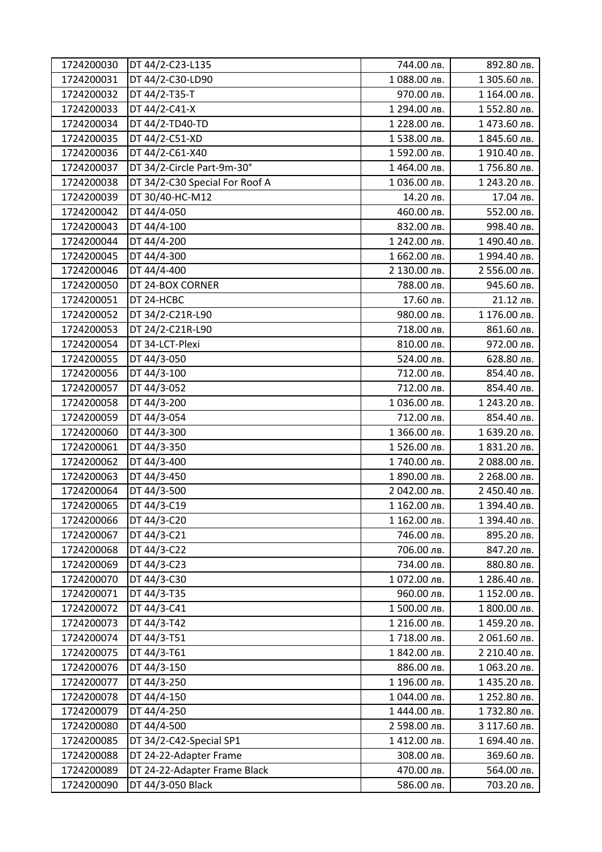| 1724200030 | DT 44/2-C23-L135               | 744.00 лв.   | 892.80 лв.   |
|------------|--------------------------------|--------------|--------------|
| 1724200031 | DT 44/2-C30-LD90               | 1088.00 лв.  | 1 305.60 лв. |
| 1724200032 | DT 44/2-T35-T                  | 970.00 лв.   | 1 164.00 лв. |
| 1724200033 | DT 44/2-C41-X                  | 1 294.00 лв. | 1552.80 лв.  |
| 1724200034 | DT 44/2-TD40-TD                | 1 228.00 лв. | 1473.60 лв.  |
| 1724200035 | DT 44/2-C51-XD                 | 1538.00 лв.  | 1 845.60 лв. |
| 1724200036 | DT 44/2-C61-X40                | 1592.00 лв.  | 1910.40 лв.  |
| 1724200037 | DT 34/2-Circle Part-9m-30°     | 1464.00 лв.  | 1756.80 лв.  |
| 1724200038 | DT 34/2-C30 Special For Roof A | 1036.00 лв.  | 1 243.20 лв. |
| 1724200039 | DT 30/40-HC-M12                | 14.20 лв.    | 17.04 лв.    |
| 1724200042 | DT 44/4-050                    | 460.00 лв.   | 552.00 лв.   |
| 1724200043 | DT 44/4-100                    | 832.00 лв.   | 998.40 лв.   |
| 1724200044 | DT 44/4-200                    | 1 242.00 лв. | 1490.40 лв.  |
| 1724200045 | DT 44/4-300                    | 1 662.00 лв. | 1994.40 лв.  |
| 1724200046 | DT 44/4-400                    | 2 130.00 лв. | 2 556.00 лв. |
| 1724200050 | DT 24-BOX CORNER               | 788.00 лв.   | 945.60 лв.   |
| 1724200051 | DT 24-HCBC                     | 17.60 лв.    | 21.12 лв.    |
| 1724200052 | DT 34/2-C21R-L90               | 980.00 лв.   | 1 176.00 лв. |
| 1724200053 | DT 24/2-C21R-L90               | 718.00 лв.   | 861.60 лв.   |
| 1724200054 | DT 34-LCT-Plexi                | 810.00 лв.   | 972.00 лв.   |
| 1724200055 | DT 44/3-050                    | 524.00 лв.   | 628.80 лв.   |
| 1724200056 | DT 44/3-100                    | 712.00 лв.   | 854.40 лв.   |
| 1724200057 | DT 44/3-052                    | 712.00 лв.   | 854.40 лв.   |
| 1724200058 | DT 44/3-200                    | 1036.00 лв.  | 1 243.20 лв. |
| 1724200059 | DT 44/3-054                    | 712.00 лв.   | 854.40 лв.   |
| 1724200060 | DT 44/3-300                    | 1 366.00 лв. | 1 639.20 лв. |
| 1724200061 | DT 44/3-350                    | 1526.00 лв.  | 1 831.20 лв. |
| 1724200062 | DT 44/3-400                    | 1740.00 лв.  | 2 088.00 лв. |
| 1724200063 | DT 44/3-450                    | 1 890.00 лв. | 2 268.00 лв. |
| 1724200064 | DT 44/3-500                    | 2 042.00 лв. | 2 450.40 лв. |
| 1724200065 | DT 44/3-C19                    | 1 162.00 лв. | 1 394.40 лв. |
| 1724200066 | DT 44/3-C20                    | 1 162.00 лв. | 1 394.40 лв. |
| 1724200067 | DT 44/3-C21                    | 746.00 лв.   | 895.20 лв.   |
| 1724200068 | DT 44/3-C22                    | 706.00 лв.   | 847.20 лв.   |
| 1724200069 | DT 44/3-C23                    | 734.00 лв.   | 880.80 лв.   |
| 1724200070 | DT 44/3-C30                    | 1072.00 лв.  | 1 286.40 лв. |
| 1724200071 | DT 44/3-T35                    | 960.00 лв.   | 1 152.00 лв. |
| 1724200072 | DT 44/3-C41                    | 1500.00 лв.  | 1 800.00 лв. |
| 1724200073 | DT 44/3-T42                    | 1 216.00 лв. | 1459.20 лв.  |
| 1724200074 | DT 44/3-T51                    | 1718.00 лв.  | 2 061.60 лв. |
| 1724200075 | DT 44/3-T61                    | 1 842.00 лв. | 2 210.40 лв. |
| 1724200076 | DT 44/3-150                    | 886.00 лв.   | 1063.20 лв.  |
| 1724200077 | DT 44/3-250                    | 1 196.00 лв. | 1435.20 лв.  |
| 1724200078 | DT 44/4-150                    | 1 044.00 лв. | 1 252.80 лв. |
| 1724200079 | DT 44/4-250                    | 1444.00 лв.  | 1732.80 лв.  |
| 1724200080 | DT 44/4-500                    | 2 598.00 лв. | 3 117.60 лв. |
| 1724200085 | DT 34/2-C42-Special SP1        | 1412.00 лв.  | 1 694.40 лв. |
| 1724200088 | DT 24-22-Adapter Frame         | 308.00 лв.   | 369.60 лв.   |
| 1724200089 | DT 24-22-Adapter Frame Black   | 470.00 лв.   | 564.00 лв.   |
| 1724200090 | DT 44/3-050 Black              | 586.00 лв.   | 703.20 лв.   |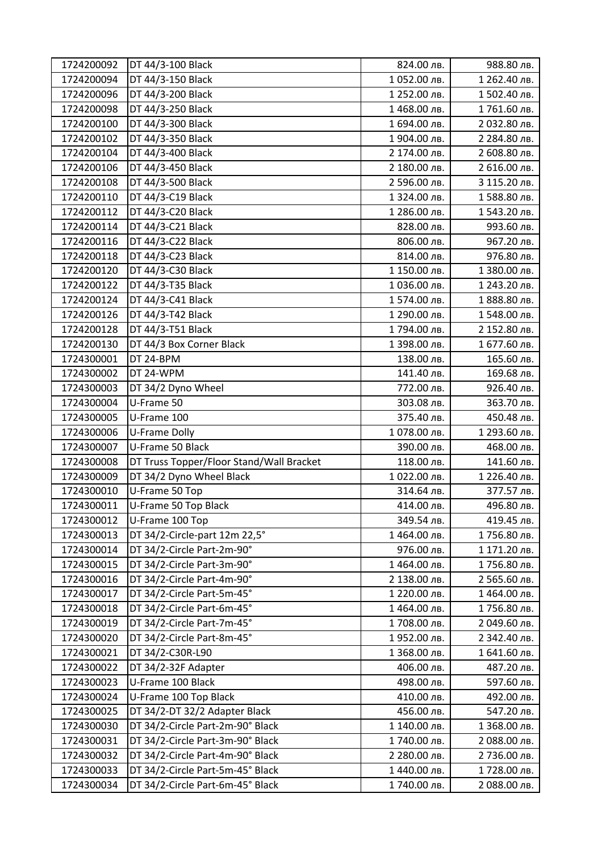| 1724200092 | DT 44/3-100 Black                        | 824.00 лв.   | 988.80 лв.   |
|------------|------------------------------------------|--------------|--------------|
| 1724200094 | DT 44/3-150 Black                        | 1052.00 лв.  | 1 262.40 лв. |
| 1724200096 | DT 44/3-200 Black                        | 1 252.00 лв. | 1502.40 лв.  |
| 1724200098 | DT 44/3-250 Black                        | 1468.00 лв.  | 1761.60 лв.  |
| 1724200100 | DT 44/3-300 Black                        | 1 694.00 лв. | 2 032.80 лв. |
| 1724200102 | DT 44/3-350 Black                        | 1 904.00 лв. | 2 284.80 лв. |
| 1724200104 | DT 44/3-400 Black                        | 2 174.00 лв. | 2 608.80 лв. |
| 1724200106 | DT 44/3-450 Black                        | 2 180.00 лв. | 2 616.00 лв. |
| 1724200108 | DT 44/3-500 Black                        | 2 596.00 лв. | 3 115.20 лв. |
| 1724200110 | DT 44/3-C19 Black                        | 1 324.00 лв. | 1588.80 лв.  |
| 1724200112 | DT 44/3-C20 Black                        | 1 286.00 лв. | 1543.20 лв.  |
| 1724200114 | DT 44/3-C21 Black                        | 828.00 лв.   | 993.60 лв.   |
| 1724200116 | DT 44/3-C22 Black                        | 806.00 лв.   | 967.20 лв.   |
| 1724200118 | DT 44/3-C23 Black                        | 814.00 лв.   | 976.80 лв.   |
| 1724200120 | DT 44/3-C30 Black                        | 1 150.00 лв. | 1 380.00 лв. |
| 1724200122 | DT 44/3-T35 Black                        | 1036.00 лв.  | 1 243.20 лв. |
| 1724200124 | DT 44/3-C41 Black                        | 1574.00 лв.  | 1 888.80 лв. |
| 1724200126 | DT 44/3-T42 Black                        | 1 290.00 лв. | 1548.00 лв.  |
| 1724200128 | DT 44/3-T51 Black                        | 1794.00 лв.  | 2 152.80 лв. |
| 1724200130 | DT 44/3 Box Corner Black                 | 1 398.00 лв. | 1 677.60 лв. |
| 1724300001 | DT 24-BPM                                | 138.00 лв.   | 165.60 лв.   |
| 1724300002 | DT 24-WPM                                | 141.40 лв.   | 169.68 лв.   |
| 1724300003 | DT 34/2 Dyno Wheel                       | 772.00 лв.   | 926.40 лв.   |
| 1724300004 | U-Frame 50                               | 303.08 лв.   | 363.70 лв.   |
| 1724300005 | U-Frame 100                              | 375.40 лв.   | 450.48 лв.   |
| 1724300006 | U-Frame Dolly                            | 1078.00 лв.  | 1 293.60 лв. |
| 1724300007 | U-Frame 50 Black                         | 390.00 лв.   | 468.00 лв.   |
| 1724300008 | DT Truss Topper/Floor Stand/Wall Bracket | 118.00 лв.   | 141.60 лв.   |
| 1724300009 | DT 34/2 Dyno Wheel Black                 | 1022.00 лв.  | 1 226.40 лв. |
| 1724300010 | U-Frame 50 Top                           | 314.64 лв.   | 377.57 лв.   |
| 1724300011 | U-Frame 50 Top Black                     | 414.00 лв.   | 496.80 лв.   |
| 1724300012 | U-Frame 100 Top                          | 349.54 лв.   | 419.45 лв.   |
| 1724300013 | DT 34/2-Circle-part 12m 22,5°            | 1464.00 лв.  | 1756.80 лв.  |
| 1724300014 | DT 34/2-Circle Part-2m-90°               | 976.00 лв.   | 1 171.20 лв. |
| 1724300015 | DT 34/2-Circle Part-3m-90°               | 1464.00 лв.  | 1756.80 лв.  |
| 1724300016 | DT 34/2-Circle Part-4m-90°               | 2 138.00 лв. | 2 565.60 лв. |
| 1724300017 | DT 34/2-Circle Part-5m-45°               | 1 220.00 лв. | 1464.00 лв.  |
| 1724300018 | DT 34/2-Circle Part-6m-45°               | 1464.00 лв.  | 1756.80 лв.  |
| 1724300019 | DT 34/2-Circle Part-7m-45°               | 1708.00 лв.  | 2 049.60 лв. |
| 1724300020 | DT 34/2-Circle Part-8m-45°               | 1952.00 лв.  | 2 342.40 лв. |
| 1724300021 | DT 34/2-C30R-L90                         | 1 368.00 лв. | 1 641.60 лв. |
| 1724300022 | DT 34/2-32F Adapter                      | 406.00 лв.   | 487.20 лв.   |
| 1724300023 | U-Frame 100 Black                        | 498.00 лв.   | 597.60 лв.   |
| 1724300024 | U-Frame 100 Top Black                    | 410.00 лв.   | 492.00 лв.   |
| 1724300025 | DT 34/2-DT 32/2 Adapter Black            | 456.00 лв.   | 547.20 лв.   |
| 1724300030 | DT 34/2-Circle Part-2m-90° Black         | 1 140.00 лв. | 1 368.00 лв. |
| 1724300031 | DT 34/2-Circle Part-3m-90° Black         | 1740.00 лв.  | 2 088.00 лв. |
| 1724300032 | DT 34/2-Circle Part-4m-90° Black         | 2 280.00 лв. | 2 736.00 лв. |
| 1724300033 | DT 34/2-Circle Part-5m-45° Black         | 1440.00 лв.  | 1728.00 лв.  |
| 1724300034 | DT 34/2-Circle Part-6m-45° Black         | 1740.00 лв.  | 2 088.00 лв. |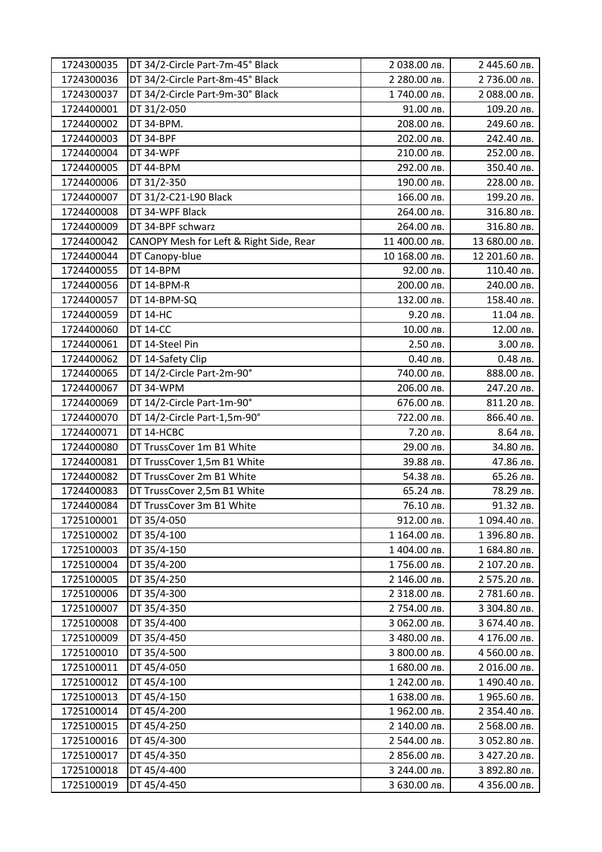| 1724300035 | DT 34/2-Circle Part-7m-45° Black        | 2 038.00 лв.  | 2 445.60 лв.  |
|------------|-----------------------------------------|---------------|---------------|
| 1724300036 | DT 34/2-Circle Part-8m-45° Black        | 2 280.00 лв.  | 2 736.00 лв.  |
| 1724300037 | DT 34/2-Circle Part-9m-30° Black        | 1740.00 лв.   | 2 088.00 лв.  |
| 1724400001 | DT 31/2-050                             | 91.00 лв.     | 109.20 лв.    |
| 1724400002 | DT 34-BPM.                              | 208.00 лв.    | 249.60 лв.    |
| 1724400003 | DT 34-BPF                               | 202.00 лв.    | 242.40 лв.    |
| 1724400004 | DT 34-WPF                               | 210.00 лв.    | 252.00 лв.    |
| 1724400005 | DT 44-BPM                               | 292.00 лв.    | 350.40 лв.    |
| 1724400006 | DT 31/2-350                             | 190.00 лв.    | 228.00 лв.    |
| 1724400007 | DT 31/2-C21-L90 Black                   | 166.00 лв.    | 199.20 лв.    |
| 1724400008 | DT 34-WPF Black                         | 264.00 лв.    | 316.80 лв.    |
| 1724400009 | DT 34-BPF schwarz                       | 264.00 лв.    | 316.80 лв.    |
| 1724400042 | CANOPY Mesh for Left & Right Side, Rear | 11 400.00 лв. | 13 680.00 лв. |
| 1724400044 | DT Canopy-blue                          | 10 168.00 лв. | 12 201.60 лв. |
| 1724400055 | DT 14-BPM                               | 92.00 лв.     | 110.40 лв.    |
| 1724400056 | DT 14-BPM-R                             | 200.00 лв.    | 240.00 лв.    |
| 1724400057 | DT 14-BPM-SQ                            | 132.00 лв.    | 158.40 лв.    |
| 1724400059 | <b>DT 14-HC</b>                         | 9.20 лв.      | 11.04 лв.     |
| 1724400060 | <b>DT 14-CC</b>                         | 10.00 лв.     | 12.00 лв.     |
| 1724400061 | DT 14-Steel Pin                         | 2.50 лв.      | 3.00 лв.      |
| 1724400062 | DT 14-Safety Clip                       | 0.40 лв.      | 0.48 лв.      |
| 1724400065 | DT 14/2-Circle Part-2m-90°              | 740.00 лв.    | 888.00 лв.    |
| 1724400067 | DT 34-WPM                               | 206.00 лв.    | 247.20 лв.    |
| 1724400069 | DT 14/2-Circle Part-1m-90°              | 676.00 лв.    | 811.20 лв.    |
| 1724400070 | DT 14/2-Circle Part-1,5m-90°            | 722.00 лв.    | 866.40 лв.    |
| 1724400071 | DT 14-HCBC                              | 7.20 лв.      | 8.64 лв.      |
| 1724400080 | DT TrussCover 1m B1 White               | 29.00 лв.     | 34.80 лв.     |
| 1724400081 | DT TrussCover 1,5m B1 White             | 39.88 лв.     | 47.86 лв.     |
| 1724400082 | DT TrussCover 2m B1 White               | 54.38 лв.     | 65.26 лв.     |
| 1724400083 | DT TrussCover 2,5m B1 White             | 65.24 лв.     | 78.29 лв.     |
| 1724400084 | DT TrussCover 3m B1 White               | 76.10 лв.     | 91.32 лв.     |
| 1725100001 | DT 35/4-050                             | 912.00 лв.    | 1094.40 лв.   |
| 1725100002 | DT 35/4-100                             | 1 164.00 лв.  | 1 396.80 лв.  |
| 1725100003 | DT 35/4-150                             | 1404.00 лв.   | 1 684.80 лв.  |
| 1725100004 | DT 35/4-200                             | 1756.00 лв.   | 2 107.20 лв.  |
| 1725100005 | DT 35/4-250                             | 2 146.00 лв.  | 2 575.20 лв.  |
| 1725100006 | DT 35/4-300                             | 2 318.00 лв.  | 2 781.60 лв.  |
| 1725100007 | DT 35/4-350                             | 2 754.00 лв.  | 3 304.80 лв.  |
| 1725100008 | DT 35/4-400                             | 3 062.00 лв.  | 3 674.40 лв.  |
| 1725100009 | DT 35/4-450                             | 3 480.00 лв.  | 4 176.00 лв.  |
| 1725100010 | DT 35/4-500                             | 3 800.00 лв.  | 4 560.00 лв.  |
| 1725100011 | DT 45/4-050                             | 1 680.00 лв.  | 2 016.00 лв.  |
| 1725100012 | DT 45/4-100                             | 1 242.00 лв.  | 1490.40 лв.   |
| 1725100013 | DT 45/4-150                             | 1 638.00 лв.  | 1965.60 лв.   |
| 1725100014 | DT 45/4-200                             | 1962.00 лв.   | 2 354.40 лв.  |
| 1725100015 | DT 45/4-250                             | 2 140.00 лв.  | 2 568.00 лв.  |
| 1725100016 | DT 45/4-300                             | 2 544.00 лв.  | 3 052.80 лв.  |
| 1725100017 | DT 45/4-350                             | 2 856.00 лв.  | 3 427.20 лв.  |
| 1725100018 | DT 45/4-400                             | 3 244.00 лв.  | 3 892.80 лв.  |
| 1725100019 | DT 45/4-450                             | 3 630.00 лв.  | 4 356.00 лв.  |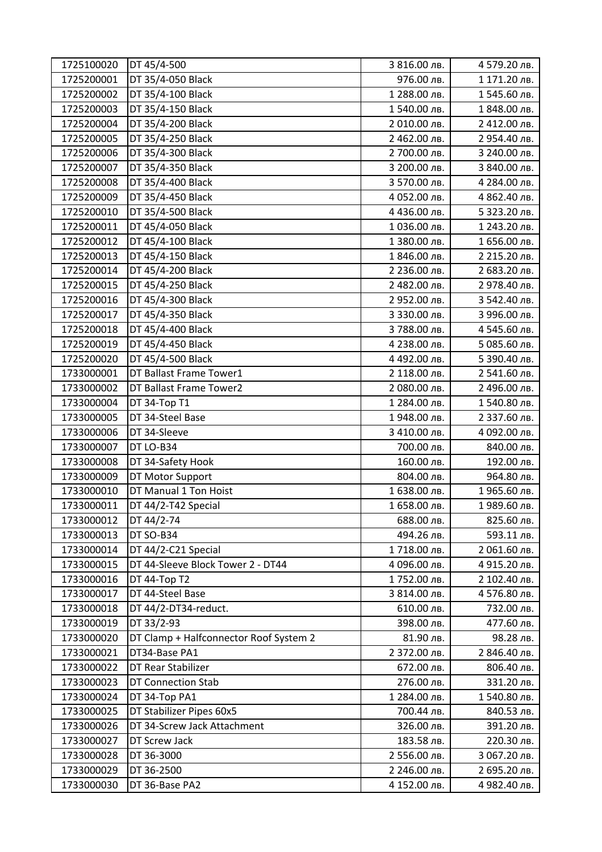| 1725100020 | DT 45/4-500                            | 3 816.00 лв. | 4 579.20 лв. |
|------------|----------------------------------------|--------------|--------------|
| 1725200001 | DT 35/4-050 Black                      | 976.00 лв.   | 1 171.20 лв. |
| 1725200002 | DT 35/4-100 Black                      | 1 288.00 лв. | 1545.60 лв.  |
| 1725200003 | DT 35/4-150 Black                      | 1540.00 лв.  | 1 848.00 лв. |
| 1725200004 | DT 35/4-200 Black                      | 2 010.00 лв. | 2 412.00 лв. |
| 1725200005 | DT 35/4-250 Black                      | 2 462.00 лв. | 2 954.40 лв. |
| 1725200006 | DT 35/4-300 Black                      | 2 700.00 лв. | 3 240.00 лв. |
| 1725200007 | DT 35/4-350 Black                      | 3 200.00 лв. | 3 840.00 лв. |
| 1725200008 | DT 35/4-400 Black                      | 3 570.00 лв. | 4 284.00 лв. |
| 1725200009 | DT 35/4-450 Black                      | 4 052.00 лв. | 4 862.40 лв. |
| 1725200010 | DT 35/4-500 Black                      | 4 436.00 лв. | 5 323.20 лв. |
| 1725200011 | DT 45/4-050 Black                      | 1036.00 лв.  | 1 243.20 лв. |
| 1725200012 | DT 45/4-100 Black                      | 1 380.00 лв. | 1 656.00 лв. |
| 1725200013 | DT 45/4-150 Black                      | 1 846.00 лв. | 2 215.20 лв. |
| 1725200014 | DT 45/4-200 Black                      | 2 236.00 лв. | 2 683.20 лв. |
| 1725200015 | DT 45/4-250 Black                      | 2 482.00 лв. | 2 978.40 лв. |
| 1725200016 | DT 45/4-300 Black                      | 2 952.00 лв. | 3 542.40 лв. |
| 1725200017 | DT 45/4-350 Black                      | 3 330.00 лв. | 3 996.00 лв. |
| 1725200018 | DT 45/4-400 Black                      | 3 788.00 лв. | 4 545.60 лв. |
| 1725200019 | DT 45/4-450 Black                      | 4 238.00 лв. | 5 085.60 лв. |
| 1725200020 | DT 45/4-500 Black                      | 4 492.00 лв. | 5 390.40 лв. |
| 1733000001 | DT Ballast Frame Tower1                | 2 118.00 лв. | 2 541.60 лв. |
| 1733000002 | DT Ballast Frame Tower2                | 2 080.00 лв. | 2 496.00 лв. |
| 1733000004 | DT 34-Top T1                           | 1 284.00 лв. | 1540.80 лв.  |
| 1733000005 | DT 34-Steel Base                       | 1948.00 лв.  | 2 337.60 лв. |
| 1733000006 | DT 34-Sleeve                           | З 410.00 лв. | 4 092.00 лв. |
| 1733000007 | DT LO-B34                              | 700.00 лв.   | 840.00 лв.   |
| 1733000008 | DT 34-Safety Hook                      | 160.00 лв.   | 192.00 лв.   |
| 1733000009 | DT Motor Support                       | 804.00 лв.   | 964.80 лв.   |
| 1733000010 | DT Manual 1 Ton Hoist                  | 1 638.00 лв. | 1965.60 лв.  |
| 1733000011 | DT 44/2-T42 Special                    | 1 658.00 лв. | 1989.60 лв.  |
| 1733000012 | DT 44/2-74                             | 688.00 лв.   | 825.60 лв.   |
| 1733000013 | DT SO-B34                              | 494.26 лв.   | 593.11 лв.   |
| 1733000014 | DT 44/2-C21 Special                    | 1718.00 лв.  | 2 061.60 лв. |
| 1733000015 | DT 44-Sleeve Block Tower 2 - DT44      | 4 096.00 лв. | 4 915.20 лв. |
| 1733000016 | DT 44-Top T2                           | 1752.00 лв.  | 2 102.40 лв. |
| 1733000017 | DT 44-Steel Base                       | 3 814.00 лв. | 4576.80 лв.  |
| 1733000018 | DT 44/2-DT34-reduct.                   | 610.00 лв.   | 732.00 лв.   |
| 1733000019 | DT 33/2-93                             | 398.00 лв.   | 477.60 лв.   |
| 1733000020 | DT Clamp + Halfconnector Roof System 2 | 81.90 лв.    | 98.28 лв.    |
| 1733000021 | DT34-Base PA1                          | 2 372.00 лв. | 2 846.40 лв. |
| 1733000022 | DT Rear Stabilizer                     | 672.00 лв.   | 806.40 лв.   |
| 1733000023 | <b>DT Connection Stab</b>              | 276.00 лв.   | 331.20 лв.   |
| 1733000024 | DT 34-Top PA1                          | 1 284.00 лв. | 1540.80 лв.  |
| 1733000025 | DT Stabilizer Pipes 60x5               | 700.44 лв.   | 840.53 лв.   |
| 1733000026 | DT 34-Screw Jack Attachment            | 326.00 лв.   | 391.20 лв.   |
| 1733000027 | DT Screw Jack                          | 183.58 лв.   | 220.30 лв.   |
| 1733000028 | DT 36-3000                             | 2 556.00 лв. | 3 067.20 лв. |
| 1733000029 | DT 36-2500                             | 2 246.00 лв. | 2 695.20 лв. |
| 1733000030 | DT 36-Base PA2                         | 4 152.00 лв. | 4 982.40 лв. |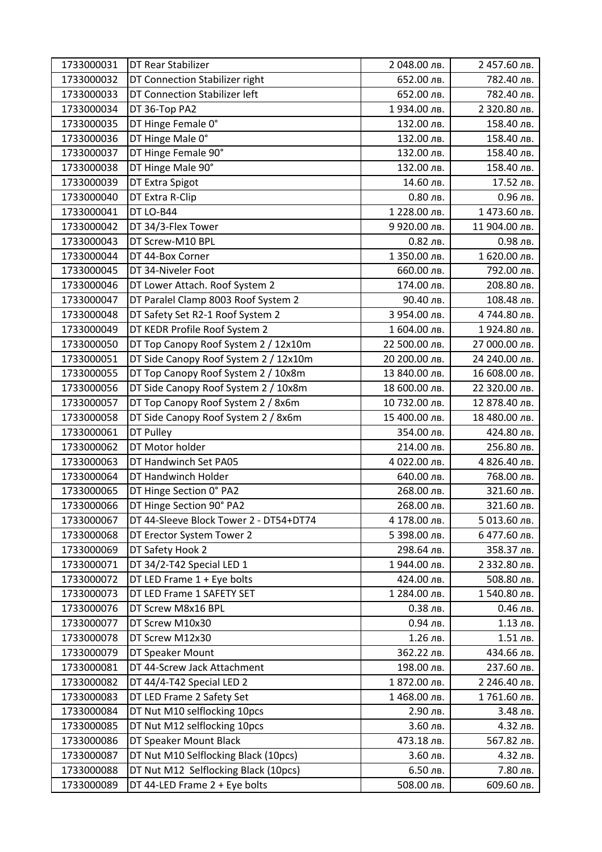| 1733000031 | <b>DT Rear Stabilizer</b>              | 2 048.00 лв.  | 2 457.60 лв.  |
|------------|----------------------------------------|---------------|---------------|
| 1733000032 | DT Connection Stabilizer right         | 652.00 лв.    | 782.40 лв.    |
| 1733000033 | DT Connection Stabilizer left          | 652.00 лв.    | 782.40 лв.    |
| 1733000034 | DT 36-Top PA2                          | 1934.00 лв.   | 2 320.80 лв.  |
| 1733000035 | DT Hinge Female 0°                     | 132.00 лв.    | 158.40 лв.    |
| 1733000036 | DT Hinge Male 0°                       | 132.00 лв.    | 158.40 лв.    |
| 1733000037 | DT Hinge Female 90°                    | 132.00 лв.    | 158.40 лв.    |
| 1733000038 | DT Hinge Male 90°                      | 132.00 лв.    | 158.40 лв.    |
| 1733000039 | DT Extra Spigot                        | 14.60 лв.     | 17.52 лв.     |
| 1733000040 | DT Extra R-Clip                        | 0.80 лв.      | 0.96 лв.      |
| 1733000041 | DT LO-B44                              | 1 228.00 лв.  | 1473.60 лв.   |
| 1733000042 | DT 34/3-Flex Tower                     | 9 920.00 лв.  | 11 904.00 лв. |
| 1733000043 | DT Screw-M10 BPL                       | 0.82 лв.      | 0.98 лв.      |
| 1733000044 | DT 44-Box Corner                       | 1 350.00 лв.  | 1 620.00 лв.  |
| 1733000045 | DT 34-Niveler Foot                     | 660.00 лв.    | 792.00 лв.    |
| 1733000046 | DT Lower Attach. Roof System 2         | 174.00 лв.    | 208.80 лв.    |
| 1733000047 | DT Paralel Clamp 8003 Roof System 2    | 90.40 лв.     | 108.48 лв.    |
| 1733000048 | DT Safety Set R2-1 Roof System 2       | 3 954.00 лв.  | 4 744.80 лв.  |
| 1733000049 | DT KEDR Profile Roof System 2          | 1 604.00 лв.  | 1924.80 лв.   |
| 1733000050 | DT Top Canopy Roof System 2 / 12x10m   | 22 500.00 лв. | 27 000.00 лв. |
| 1733000051 | DT Side Canopy Roof System 2 / 12x10m  | 20 200.00 лв. | 24 240.00 лв. |
| 1733000055 | DT Top Canopy Roof System 2 / 10x8m    | 13 840.00 лв. | 16 608.00 лв. |
| 1733000056 | DT Side Canopy Roof System 2 / 10x8m   | 18 600.00 лв. | 22 320.00 лв. |
| 1733000057 | DT Top Canopy Roof System 2 / 8x6m     | 10 732.00 лв. | 12 878.40 лв. |
| 1733000058 | DT Side Canopy Roof System 2 / 8x6m    | 15 400.00 лв. | 18 480.00 лв. |
| 1733000061 | DT Pulley                              | 354.00 лв.    | 424.80 лв.    |
| 1733000062 | DT Motor holder                        | 214.00 лв.    | 256.80 лв.    |
| 1733000063 | DT Handwinch Set PA05                  | 4 022.00 лв.  | 4 826.40 лв.  |
| 1733000064 | DT Handwinch Holder                    | 640.00 лв.    | 768.00 лв.    |
| 1733000065 | DT Hinge Section 0° PA2                | 268.00 лв.    | 321.60 лв.    |
| 1733000066 | DT Hinge Section 90° PA2               | 268.00 лв.    | 321.60 лв.    |
| 1733000067 | DT 44-Sleeve Block Tower 2 - DT54+DT74 | 4 178.00 лв.  | 5 013.60 лв.  |
| 1733000068 | DT Erector System Tower 2              | 5 398.00 лв.  | 6 477.60 лв.  |
| 1733000069 | DT Safety Hook 2                       | 298.64 лв.    | 358.37 лв.    |
| 1733000071 | DT 34/2-T42 Special LED 1              | 1944.00 лв.   | 2 332.80 лв.  |
| 1733000072 | DT LED Frame 1 + Eye bolts             | 424.00 лв.    | 508.80 лв.    |
| 1733000073 | DT LED Frame 1 SAFETY SET              | 1 284.00 лв.  | 1540.80 лв.   |
| 1733000076 | DT Screw M8x16 BPL                     | 0.38 лв.      | 0.46 лв.      |
| 1733000077 | DT Screw M10x30                        | 0.94 лв.      | 1.13 лв.      |
| 1733000078 | DT Screw M12x30                        | 1.26 лв.      | 1.51 лв.      |
| 1733000079 | DT Speaker Mount                       | 362.22 лв.    | 434.66 лв.    |
| 1733000081 | DT 44-Screw Jack Attachment            | 198.00 лв.    | 237.60 лв.    |
| 1733000082 | DT 44/4-T42 Special LED 2              | 1 872.00 лв.  | 2 246.40 лв.  |
| 1733000083 | DT LED Frame 2 Safety Set              | 1468.00 лв.   | 1761.60 лв.   |
| 1733000084 | DT Nut M10 selflocking 10pcs           | 2.90 лв.      | 3.48 лв.      |
| 1733000085 | DT Nut M12 selflocking 10pcs           | 3.60 лв.      | 4.32 лв.      |
| 1733000086 | DT Speaker Mount Black                 | 473.18 лв.    | 567.82 лв.    |
| 1733000087 | DT Nut M10 Selflocking Black (10pcs)   | 3.60 лв.      | 4.32 лв.      |
| 1733000088 | DT Nut M12 Selflocking Black (10pcs)   | 6.50 лв.      | 7.80 лв.      |
| 1733000089 | DT 44-LED Frame 2 + Eye bolts          | 508.00 лв.    | 609.60 лв.    |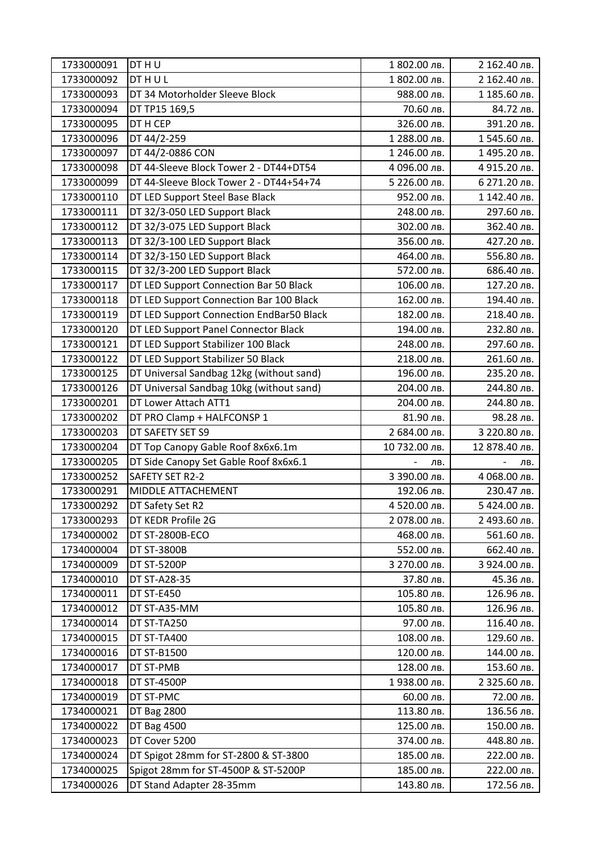| 1733000091 | DT H U                                   | 1 802.00 лв.  | 2 162.40 лв.  |
|------------|------------------------------------------|---------------|---------------|
| 1733000092 | <b>DTHUL</b>                             | 1 802.00 лв.  | 2 162.40 лв.  |
| 1733000093 | DT 34 Motorholder Sleeve Block           | 988.00 лв.    | 1 185.60 лв.  |
| 1733000094 | DT TP15 169,5                            | 70.60 лв.     | 84.72 лв.     |
| 1733000095 | DT H CEP                                 | 326.00 лв.    | 391.20 лв.    |
| 1733000096 | DT 44/2-259                              | 1 288.00 лв.  | 1545.60 лв.   |
| 1733000097 | DT 44/2-0886 CON                         | 1 246.00 лв.  | 1495.20 лв.   |
| 1733000098 | DT 44-Sleeve Block Tower 2 - DT44+DT54   | 4 096.00 лв.  | 4 915.20 лв.  |
| 1733000099 | DT 44-Sleeve Block Tower 2 - DT44+54+74  | 5 226.00 лв.  | 6 271.20 лв.  |
| 1733000110 | DT LED Support Steel Base Black          | 952.00 лв.    | 1 142.40 лв.  |
| 1733000111 | DT 32/3-050 LED Support Black            | 248.00 лв.    | 297.60 лв.    |
| 1733000112 | DT 32/3-075 LED Support Black            | 302.00 лв.    | 362.40 лв.    |
| 1733000113 | DT 32/3-100 LED Support Black            | 356.00 лв.    | 427.20 лв.    |
| 1733000114 | DT 32/3-150 LED Support Black            | 464.00 лв.    | 556.80 лв.    |
| 1733000115 | DT 32/3-200 LED Support Black            | 572.00 лв.    | 686.40 лв.    |
| 1733000117 | DT LED Support Connection Bar 50 Black   | 106.00 лв.    | 127.20 лв.    |
| 1733000118 | DT LED Support Connection Bar 100 Black  | 162.00 лв.    | 194.40 лв.    |
| 1733000119 | DT LED Support Connection EndBar50 Black | 182.00 лв.    | 218.40 лв.    |
| 1733000120 | DT LED Support Panel Connector Black     | 194.00 лв.    | 232.80 лв.    |
| 1733000121 | DT LED Support Stabilizer 100 Black      | 248.00 лв.    | 297.60 лв.    |
| 1733000122 | DT LED Support Stabilizer 50 Black       | 218.00 лв.    | 261.60 лв.    |
| 1733000125 | DT Universal Sandbag 12kg (without sand) | 196.00 лв.    | 235.20 лв.    |
| 1733000126 | DT Universal Sandbag 10kg (without sand) | 204.00 лв.    | 244.80 лв.    |
| 1733000201 | DT Lower Attach ATT1                     | 204.00 лв.    | 244.80 лв.    |
| 1733000202 | DT PRO Clamp + HALFCONSP 1               | 81.90 лв.     | 98.28 лв.     |
| 1733000203 | DT SAFETY SET S9                         | 2 684.00 лв.  | 3 220.80 лв.  |
| 1733000204 | DT Top Canopy Gable Roof 8x6x6.1m        | 10 732.00 лв. | 12 878.40 лв. |
| 1733000205 | DT Side Canopy Set Gable Roof 8x6x6.1    | лв.           | лв.           |
| 1733000252 | SAFETY SET R2-2                          | 3 390.00 лв.  | 4 068.00 лв.  |
| 1733000291 | MIDDLE ATTACHEMENT                       | 192.06 лв.    | 230.47 лв.    |
| 1733000292 | DT Safety Set R2                         | 4 520.00 лв.  | 5424.00 лв.   |
| 1733000293 | DT KEDR Profile 2G                       | 2 078.00 лв.  | 2 493.60 лв.  |
| 1734000002 | DT ST-2800B-ECO                          | 468.00 лв.    | 561.60 лв.    |
| 1734000004 | DT ST-3800B                              | 552.00 лв.    | 662.40 лв.    |
| 1734000009 | <b>DT ST-5200P</b>                       | 3 270.00 лв.  | 3 924.00 лв.  |
| 1734000010 | DT ST-A28-35                             | 37.80 лв.     | 45.36 лв.     |
| 1734000011 | <b>DT ST-E450</b>                        | 105.80 лв.    | 126.96 лв.    |
| 1734000012 | DT ST-A35-MM                             | 105.80 лв.    | 126.96 лв.    |
| 1734000014 | DT ST-TA250                              | 97.00 лв.     | 116.40 лв.    |
| 1734000015 | DT ST-TA400                              | 108.00 лв.    | 129.60 лв.    |
| 1734000016 | DT ST-B1500                              | 120.00 лв.    | 144.00 лв.    |
| 1734000017 | DT ST-PMB                                | 128.00 лв.    | 153.60 лв.    |
| 1734000018 | <b>DT ST-4500P</b>                       | 1938.00 лв.   | 2 325.60 лв.  |
| 1734000019 | DT ST-PMC                                | 60.00 лв.     | 72.00 лв.     |
| 1734000021 | <b>DT Bag 2800</b>                       | 113.80 лв.    | 136.56 лв.    |
| 1734000022 | DT Bag 4500                              | 125.00 лв.    | 150.00 лв.    |
| 1734000023 | DT Cover 5200                            | 374.00 лв.    | 448.80 лв.    |
|            |                                          |               |               |
| 1734000024 | DT Spigot 28mm for ST-2800 & ST-3800     | 185.00 лв.    | 222.00 лв.    |
| 1734000025 | Spigot 28mm for ST-4500P & ST-5200P      | 185.00 лв.    | 222.00 лв.    |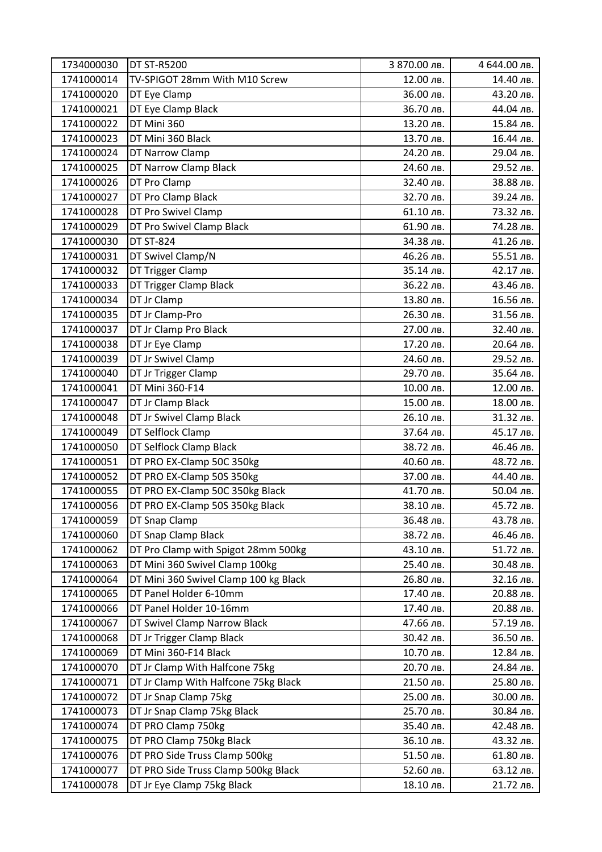| 1734000030 | <b>DT ST-R5200</b>                    | 3 870.00 лв. | 4 644.00 лв. |
|------------|---------------------------------------|--------------|--------------|
| 1741000014 | TV-SPIGOT 28mm With M10 Screw         | 12.00 лв.    | 14.40 лв.    |
| 1741000020 | DT Eye Clamp                          | 36.00 лв.    | 43.20 лв.    |
| 1741000021 | DT Eye Clamp Black                    | 36.70 лв.    | 44.04 лв.    |
| 1741000022 | DT Mini 360                           | 13.20 лв.    | 15.84 лв.    |
| 1741000023 | DT Mini 360 Black                     | 13.70 лв.    | 16.44 лв.    |
| 1741000024 | <b>DT Narrow Clamp</b>                | 24.20 лв.    | 29.04 лв.    |
| 1741000025 | DT Narrow Clamp Black                 | 24.60 лв.    | 29.52 лв.    |
| 1741000026 | DT Pro Clamp                          | 32.40 лв.    | 38.88 лв.    |
| 1741000027 | DT Pro Clamp Black                    | 32.70 лв.    | 39.24 лв.    |
| 1741000028 | DT Pro Swivel Clamp                   | 61.10 лв.    | 73.32 лв.    |
| 1741000029 | DT Pro Swivel Clamp Black             | 61.90 лв.    | 74.28 лв.    |
| 1741000030 | <b>DT ST-824</b>                      | 34.38 лв.    | 41.26 лв.    |
| 1741000031 | DT Swivel Clamp/N                     | 46.26 лв.    | 55.51 лв.    |
| 1741000032 | DT Trigger Clamp                      | 35.14 лв.    | 42.17 лв.    |
| 1741000033 | DT Trigger Clamp Black                | 36.22 лв.    | 43.46 лв.    |
| 1741000034 | DT Jr Clamp                           | 13.80 лв.    | 16.56 лв.    |
| 1741000035 | DT Jr Clamp-Pro                       | 26.30 лв.    | 31.56 лв.    |
| 1741000037 | DT Jr Clamp Pro Black                 | 27.00 лв.    | 32.40 лв.    |
| 1741000038 | DT Jr Eye Clamp                       | 17.20 лв.    | 20.64 лв.    |
| 1741000039 | DT Jr Swivel Clamp                    | 24.60 лв.    | 29.52 лв.    |
| 1741000040 | DT Jr Trigger Clamp                   | 29.70 лв.    | 35.64 лв.    |
| 1741000041 | DT Mini 360-F14                       | 10.00 лв.    | 12.00 лв.    |
| 1741000047 | DT Jr Clamp Black                     | 15.00 лв.    | 18.00 лв.    |
| 1741000048 | DT Jr Swivel Clamp Black              | 26.10 лв.    | 31.32 лв.    |
| 1741000049 | DT Selflock Clamp                     | 37.64 лв.    | 45.17 лв.    |
| 1741000050 | DT Selflock Clamp Black               | 38.72 лв.    | 46.46 лв.    |
| 1741000051 | DT PRO EX-Clamp 50C 350kg             | 40.60 лв.    | 48.72 лв.    |
| 1741000052 | DT PRO EX-Clamp 50S 350kg             | 37.00 лв.    | 44.40 лв.    |
| 1741000055 | DT PRO EX-Clamp 50C 350kg Black       | 41.70 лв.    | 50.04 лв.    |
| 1741000056 | DT PRO EX-Clamp 50S 350kg Black       | 38.10 лв.    | 45.72 лв.    |
| 1741000059 | DT Snap Clamp                         | 36.48 лв.    | 43.78 лв.    |
| 1741000060 | DT Snap Clamp Black                   | 38.72 лв.    | 46.46 лв.    |
| 1741000062 | DT Pro Clamp with Spigot 28mm 500kg   | 43.10 лв.    | 51.72 лв.    |
| 1741000063 | DT Mini 360 Swivel Clamp 100kg        | 25.40 лв.    | 30.48 лв.    |
| 1741000064 | DT Mini 360 Swivel Clamp 100 kg Black | 26.80 лв.    | 32.16 лв.    |
| 1741000065 | DT Panel Holder 6-10mm                | 17.40 лв.    | 20.88 лв.    |
| 1741000066 | DT Panel Holder 10-16mm               | 17.40 лв.    | 20.88 лв.    |
| 1741000067 | DT Swivel Clamp Narrow Black          | 47.66 лв.    | 57.19 лв.    |
| 1741000068 | DT Jr Trigger Clamp Black             | 30.42 лв.    | 36.50 лв.    |
| 1741000069 | DT Mini 360-F14 Black                 | 10.70 лв.    | 12.84 лв.    |
| 1741000070 | DT Jr Clamp With Halfcone 75kg        | 20.70 лв.    | 24.84 лв.    |
| 1741000071 | DT Jr Clamp With Halfcone 75kg Black  | 21.50 лв.    | 25.80 лв.    |
| 1741000072 | DT Jr Snap Clamp 75kg                 | 25.00 лв.    | 30.00 лв.    |
| 1741000073 | DT Jr Snap Clamp 75kg Black           | 25.70 лв.    | 30.84 лв.    |
| 1741000074 | DT PRO Clamp 750kg                    | 35.40 лв.    | 42.48 лв.    |
| 1741000075 | DT PRO Clamp 750kg Black              | 36.10 лв.    | 43.32 лв.    |
| 1741000076 | DT PRO Side Truss Clamp 500kg         | 51.50 лв.    | 61.80 лв.    |
| 1741000077 | DT PRO Side Truss Clamp 500kg Black   | 52.60 лв.    | 63.12 лв.    |
| 1741000078 | DT Jr Eye Clamp 75kg Black            | 18.10 лв.    | 21.72 лв.    |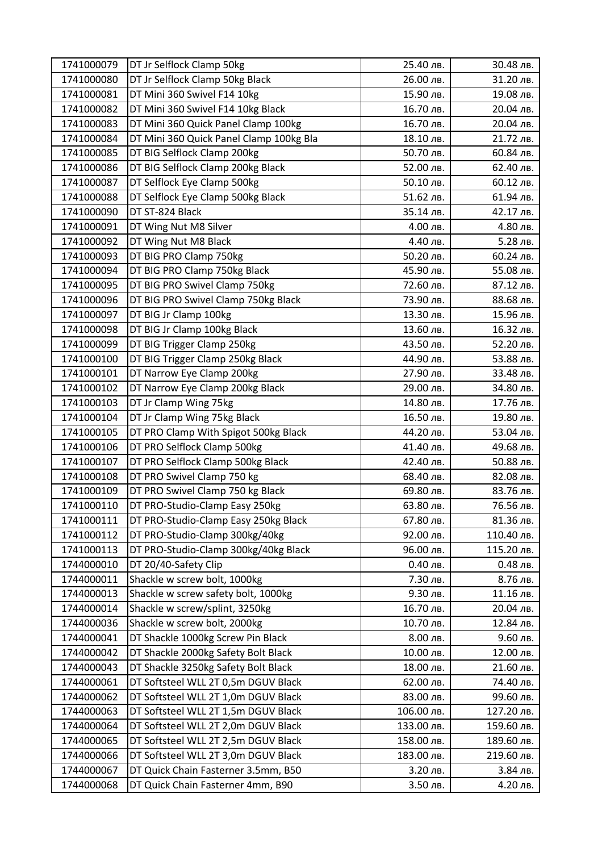| 1741000079 | DT Jr Selflock Clamp 50kg               | 25.40 лв.  | 30.48 лв.  |
|------------|-----------------------------------------|------------|------------|
| 1741000080 | DT Jr Selflock Clamp 50kg Black         | 26.00 лв.  | 31.20 лв.  |
| 1741000081 | DT Mini 360 Swivel F14 10kg             | 15.90 лв.  | 19.08 лв.  |
| 1741000082 | DT Mini 360 Swivel F14 10kg Black       | 16.70 лв.  | 20.04 лв.  |
| 1741000083 | DT Mini 360 Quick Panel Clamp 100kg     | 16.70 лв.  | 20.04 лв.  |
| 1741000084 | DT Mini 360 Quick Panel Clamp 100kg Bla | 18.10 лв.  | 21.72 лв.  |
| 1741000085 | DT BIG Selflock Clamp 200kg             | 50.70 лв.  | 60.84 лв.  |
| 1741000086 | DT BIG Selflock Clamp 200kg Black       | 52.00 лв.  | 62.40 лв.  |
| 1741000087 | DT Selflock Eye Clamp 500kg             | 50.10 лв.  | 60.12 лв.  |
| 1741000088 | DT Selflock Eye Clamp 500kg Black       | 51.62 лв.  | 61.94 лв.  |
| 1741000090 | DT ST-824 Black                         | 35.14 лв.  | 42.17 лв.  |
| 1741000091 | DT Wing Nut M8 Silver                   | 4.00 лв.   | 4.80 лв.   |
| 1741000092 | DT Wing Nut M8 Black                    | 4.40 лв.   | 5.28 лв.   |
| 1741000093 | DT BIG PRO Clamp 750kg                  | 50.20 лв.  | 60.24 лв.  |
| 1741000094 | DT BIG PRO Clamp 750kg Black            | 45.90 лв.  | 55.08 лв.  |
| 1741000095 | DT BIG PRO Swivel Clamp 750kg           | 72.60 лв.  | 87.12 лв.  |
| 1741000096 | DT BIG PRO Swivel Clamp 750kg Black     | 73.90 лв.  | 88.68 лв.  |
| 1741000097 | DT BIG Jr Clamp 100kg                   | 13.30 лв.  | 15.96 лв.  |
| 1741000098 | DT BIG Jr Clamp 100kg Black             | 13.60 лв.  | 16.32 лв.  |
| 1741000099 | DT BIG Trigger Clamp 250kg              | 43.50 лв.  | 52.20 лв.  |
| 1741000100 | DT BIG Trigger Clamp 250kg Black        | 44.90 лв.  | 53.88 лв.  |
| 1741000101 | DT Narrow Eye Clamp 200kg               | 27.90 лв.  | 33.48 лв.  |
| 1741000102 | DT Narrow Eye Clamp 200kg Black         | 29.00 лв.  | 34.80 лв.  |
| 1741000103 | DT Jr Clamp Wing 75kg                   | 14.80 лв.  | 17.76 лв.  |
| 1741000104 | DT Jr Clamp Wing 75kg Black             | 16.50 лв.  | 19.80 лв.  |
| 1741000105 | DT PRO Clamp With Spigot 500kg Black    | 44.20 лв.  | 53.04 лв.  |
| 1741000106 | DT PRO Selflock Clamp 500kg             | 41.40 лв.  | 49.68 лв.  |
| 1741000107 | DT PRO Selflock Clamp 500kg Black       | 42.40 лв.  | 50.88 лв.  |
| 1741000108 | DT PRO Swivel Clamp 750 kg              | 68.40 лв.  | 82.08 лв.  |
| 1741000109 | DT PRO Swivel Clamp 750 kg Black        | 69.80 лв.  | 83.76 лв.  |
| 1741000110 | DT PRO-Studio-Clamp Easy 250kg          | 63.80 лв.  | 76.56 лв.  |
| 1741000111 | DT PRO-Studio-Clamp Easy 250kg Black    | 67.80 лв.  | 81.36 лв.  |
| 1741000112 | DT PRO-Studio-Clamp 300kg/40kg          | 92.00 лв.  | 110.40 лв. |
| 1741000113 | DT PRO-Studio-Clamp 300kg/40kg Black    | 96.00 лв.  | 115.20 лв. |
| 1744000010 | DT 20/40-Safety Clip                    | 0.40 лв.   | 0.48 лв.   |
| 1744000011 | Shackle w screw bolt, 1000kg            | 7.30 лв.   | 8.76 лв.   |
| 1744000013 | Shackle w screw safety bolt, 1000kg     | 9.30 лв.   | 11.16 лв.  |
| 1744000014 | Shackle w screw/splint, 3250kg          | 16.70 лв.  | 20.04 лв.  |
| 1744000036 | Shackle w screw bolt, 2000kg            | 10.70 лв.  | 12.84 лв.  |
| 1744000041 | DT Shackle 1000kg Screw Pin Black       | 8.00 лв.   | 9.60 лв.   |
| 1744000042 | DT Shackle 2000kg Safety Bolt Black     | 10.00 лв.  | 12.00 лв.  |
| 1744000043 | DT Shackle 3250kg Safety Bolt Black     | 18.00 лв.  | 21.60 лв.  |
| 1744000061 | DT Softsteel WLL 2T 0,5m DGUV Black     | 62.00 лв.  | 74.40 лв.  |
| 1744000062 | DT Softsteel WLL 2T 1,0m DGUV Black     | 83.00 лв.  | 99.60 лв.  |
| 1744000063 | DT Softsteel WLL 2T 1,5m DGUV Black     | 106.00 лв. | 127.20 лв. |
| 1744000064 | DT Softsteel WLL 2T 2,0m DGUV Black     | 133.00 лв. | 159.60 лв. |
| 1744000065 | DT Softsteel WLL 2T 2,5m DGUV Black     | 158.00 лв. | 189.60 лв. |
| 1744000066 | DT Softsteel WLL 2T 3,0m DGUV Black     | 183.00 лв. | 219.60 лв. |
| 1744000067 | DT Quick Chain Fasterner 3.5mm, B50     | 3.20 лв.   | 3.84 лв.   |
| 1744000068 | DT Quick Chain Fasterner 4mm, B90       | 3.50 лв.   | 4.20 лв.   |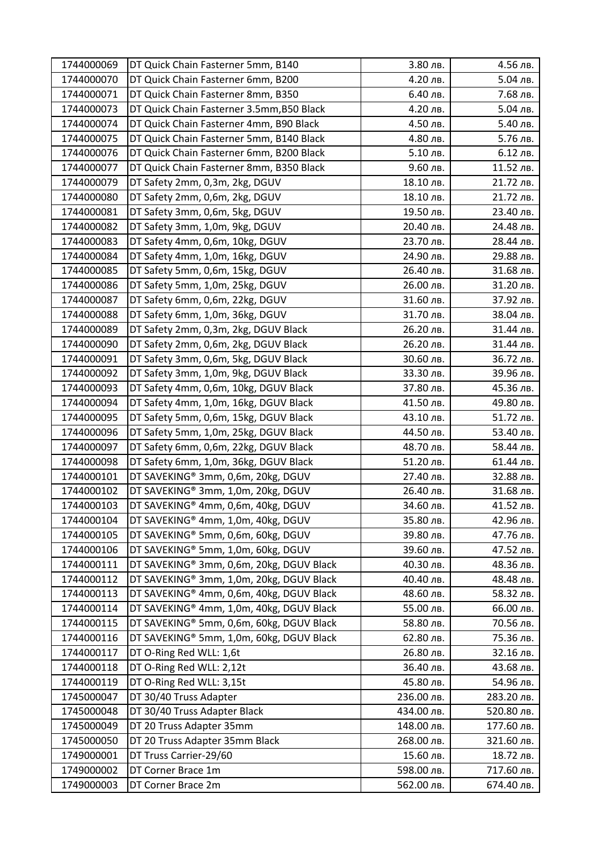| 1744000069 | DT Quick Chain Fasterner 5mm, B140        | 3.80 лв.   | 4.56 лв.   |
|------------|-------------------------------------------|------------|------------|
| 1744000070 | DT Quick Chain Fasterner 6mm, B200        | 4.20 лв.   | 5.04 лв.   |
| 1744000071 | DT Quick Chain Fasterner 8mm, B350        | 6.40 лв.   | 7.68 лв.   |
| 1744000073 | DT Quick Chain Fasterner 3.5mm, B50 Black | 4.20 лв.   | 5.04 лв.   |
| 1744000074 | DT Quick Chain Fasterner 4mm, B90 Black   | 4.50 лв.   | 5.40 лв.   |
| 1744000075 | DT Quick Chain Fasterner 5mm, B140 Black  | 4.80 лв.   | 5.76 лв.   |
| 1744000076 | DT Quick Chain Fasterner 6mm, B200 Black  | 5.10 лв.   | 6.12 лв.   |
| 1744000077 | DT Quick Chain Fasterner 8mm, B350 Black  | 9.60 лв.   | 11.52 лв.  |
| 1744000079 | DT Safety 2mm, 0,3m, 2kg, DGUV            | 18.10 лв.  | 21.72 лв.  |
| 1744000080 | DT Safety 2mm, 0,6m, 2kg, DGUV            | 18.10 лв.  | 21.72 лв.  |
| 1744000081 | DT Safety 3mm, 0,6m, 5kg, DGUV            | 19.50 лв.  | 23.40 лв.  |
| 1744000082 | DT Safety 3mm, 1,0m, 9kg, DGUV            | 20.40 лв.  | 24.48 лв.  |
| 1744000083 | DT Safety 4mm, 0,6m, 10kg, DGUV           | 23.70 лв.  | 28.44 лв.  |
| 1744000084 | DT Safety 4mm, 1,0m, 16kg, DGUV           | 24.90 лв.  | 29.88 лв.  |
| 1744000085 | DT Safety 5mm, 0,6m, 15kg, DGUV           | 26.40 лв.  | 31.68 лв.  |
| 1744000086 | DT Safety 5mm, 1,0m, 25kg, DGUV           | 26.00 лв.  | 31.20 лв.  |
| 1744000087 | DT Safety 6mm, 0,6m, 22kg, DGUV           | 31.60 лв.  | 37.92 лв.  |
| 1744000088 | DT Safety 6mm, 1,0m, 36kg, DGUV           | 31.70 лв.  | 38.04 лв.  |
| 1744000089 | DT Safety 2mm, 0,3m, 2kg, DGUV Black      | 26.20 лв.  | 31.44 лв.  |
| 1744000090 | DT Safety 2mm, 0,6m, 2kg, DGUV Black      | 26.20 лв.  | 31.44 лв.  |
| 1744000091 | DT Safety 3mm, 0,6m, 5kg, DGUV Black      | 30.60 лв.  | 36.72 лв.  |
| 1744000092 | DT Safety 3mm, 1,0m, 9kg, DGUV Black      | 33.30 лв.  | 39.96 лв.  |
| 1744000093 | DT Safety 4mm, 0,6m, 10kg, DGUV Black     | 37.80 лв.  | 45.36 лв.  |
| 1744000094 | DT Safety 4mm, 1,0m, 16kg, DGUV Black     | 41.50 лв.  | 49.80 лв.  |
| 1744000095 | DT Safety 5mm, 0,6m, 15kg, DGUV Black     | 43.10 лв.  | 51.72 лв.  |
| 1744000096 | DT Safety 5mm, 1,0m, 25kg, DGUV Black     | 44.50 лв.  | 53.40 лв.  |
| 1744000097 | DT Safety 6mm, 0,6m, 22kg, DGUV Black     | 48.70 лв.  | 58.44 лв.  |
| 1744000098 | DT Safety 6mm, 1,0m, 36kg, DGUV Black     | 51.20 лв.  | 61.44 лв.  |
| 1744000101 | DT SAVEKING® 3mm, 0,6m, 20kg, DGUV        | 27.40 лв.  | 32.88 лв.  |
| 1744000102 | DT SAVEKING® 3mm, 1,0m, 20kg, DGUV        | 26.40 лв.  | 31.68 лв.  |
| 1744000103 | DT SAVEKING® 4mm, 0,6m, 40kg, DGUV        | 34.60 лв.  | 41.52 лв.  |
| 1744000104 | DT SAVEKING® 4mm, 1,0m, 40kg, DGUV        | 35.80 лв.  | 42.96 лв.  |
| 1744000105 | DT SAVEKING® 5mm, 0,6m, 60kg, DGUV        | 39.80 лв.  | 47.76 лв.  |
| 1744000106 | DT SAVEKING® 5mm, 1,0m, 60kg, DGUV        | 39.60 лв.  | 47.52 лв.  |
| 1744000111 | DT SAVEKING® 3mm, 0,6m, 20kg, DGUV Black  | 40.30 лв.  | 48.36 лв.  |
| 1744000112 | DT SAVEKING® 3mm, 1,0m, 20kg, DGUV Black  | 40.40 лв.  | 48.48 лв.  |
| 1744000113 | DT SAVEKING® 4mm, 0,6m, 40kg, DGUV Black  | 48.60 лв.  | 58.32 лв.  |
| 1744000114 | DT SAVEKING® 4mm, 1,0m, 40kg, DGUV Black  | 55.00 лв.  | 66.00 лв.  |
| 1744000115 | DT SAVEKING® 5mm, 0,6m, 60kg, DGUV Black  | 58.80 лв.  | 70.56 лв.  |
| 1744000116 | DT SAVEKING® 5mm, 1,0m, 60kg, DGUV Black  | 62.80 лв.  | 75.36 лв.  |
| 1744000117 | DT O-Ring Red WLL: 1,6t                   | 26.80 лв.  | 32.16 лв.  |
| 1744000118 | DT O-Ring Red WLL: 2,12t                  | 36.40 лв.  | 43.68 лв.  |
| 1744000119 | DT O-Ring Red WLL: 3,15t                  | 45.80 лв.  | 54.96 лв.  |
| 1745000047 | DT 30/40 Truss Adapter                    | 236.00 лв. | 283.20 лв. |
| 1745000048 | DT 30/40 Truss Adapter Black              | 434.00 лв. | 520.80 лв. |
| 1745000049 | DT 20 Truss Adapter 35mm                  | 148.00 лв. | 177.60 лв. |
| 1745000050 | DT 20 Truss Adapter 35mm Black            | 268.00 лв. | 321.60 лв. |
| 1749000001 | DT Truss Carrier-29/60                    | 15.60 лв.  | 18.72 лв.  |
| 1749000002 | DT Corner Brace 1m                        | 598.00 лв. | 717.60 лв. |
| 1749000003 | DT Corner Brace 2m                        | 562.00 лв. | 674.40 лв. |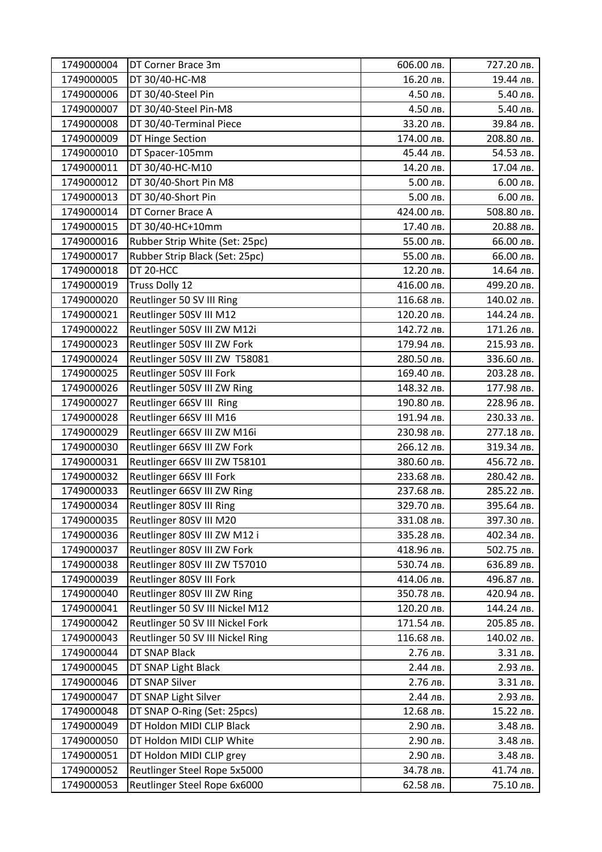| 1749000004 | DT Corner Brace 3m               | 606.00 лв. | 727.20 лв. |
|------------|----------------------------------|------------|------------|
| 1749000005 | DT 30/40-HC-M8                   | 16.20 лв.  | 19.44 лв.  |
| 1749000006 | DT 30/40-Steel Pin               | 4.50 лв.   | 5.40 лв.   |
| 1749000007 | DT 30/40-Steel Pin-M8            | 4.50 лв.   | 5.40 лв.   |
| 1749000008 | DT 30/40-Terminal Piece          | 33.20 лв.  | 39.84 лв.  |
| 1749000009 | DT Hinge Section                 | 174.00 лв. | 208.80 лв. |
| 1749000010 | DT Spacer-105mm                  | 45.44 лв.  | 54.53 лв.  |
| 1749000011 | DT 30/40-HC-M10                  | 14.20 лв.  | 17.04 лв.  |
| 1749000012 | DT 30/40-Short Pin M8            | 5.00 лв.   | 6.00 лв.   |
| 1749000013 | DT 30/40-Short Pin               | 5.00 лв.   | 6.00 лв.   |
| 1749000014 | DT Corner Brace A                | 424.00 лв. | 508.80 лв. |
| 1749000015 | DT 30/40-HC+10mm                 | 17.40 лв.  | 20.88 лв.  |
| 1749000016 | Rubber Strip White (Set: 25pc)   | 55.00 лв.  | 66.00 лв.  |
| 1749000017 | Rubber Strip Black (Set: 25pc)   | 55.00 лв.  | 66.00 лв.  |
| 1749000018 | DT 20-HCC                        | 12.20 лв.  | 14.64 лв.  |
| 1749000019 | Truss Dolly 12                   | 416.00 лв. | 499.20 лв. |
| 1749000020 | Reutlinger 50 SV III Ring        | 116.68 лв. | 140.02 лв. |
| 1749000021 | Reutlinger 50SV III M12          | 120.20 лв. | 144.24 лв. |
| 1749000022 | Reutlinger 50SV III ZW M12i      | 142.72 лв. | 171.26 лв. |
| 1749000023 | Reutlinger 50SV III ZW Fork      | 179.94 лв. | 215.93 лв. |
| 1749000024 | Reutlinger 50SV III ZW T58081    | 280.50 лв. | 336.60 лв. |
| 1749000025 | Reutlinger 50SV III Fork         | 169.40 лв. | 203.28 лв. |
| 1749000026 | Reutlinger 50SV III ZW Ring      | 148.32 лв. | 177.98 лв. |
| 1749000027 | Reutlinger 66SV III Ring         | 190.80 лв. | 228.96 лв. |
| 1749000028 | Reutlinger 66SV III M16          | 191.94 лв. | 230.33 лв. |
| 1749000029 | Reutlinger 66SV III ZW M16i      | 230.98 лв. | 277.18 лв. |
| 1749000030 | Reutlinger 66SV III ZW Fork      | 266.12 лв. | 319.34 лв. |
| 1749000031 | Reutlinger 66SV III ZW T58101    | 380.60 лв. | 456.72 лв. |
| 1749000032 | Reutlinger 66SV III Fork         | 233.68 лв. | 280.42 лв. |
| 1749000033 | Reutlinger 66SV III ZW Ring      | 237.68 лв. | 285.22 лв. |
| 1749000034 | Reutlinger 80SV III Ring         | 329.70 лв. | 395.64 лв. |
| 1749000035 | Reutlinger 80SV III M20          | 331.08 лв. | 397.30 лв. |
| 1749000036 | Reutlinger 80SV III ZW M12 i     | 335.28 лв. | 402.34 лв. |
| 1749000037 | Reutlinger 80SV III ZW Fork      | 418.96 лв. | 502.75 лв. |
| 1749000038 | Reutlinger 80SV III ZW T57010    | 530.74 лв. | 636.89 лв. |
| 1749000039 | Reutlinger 80SV III Fork         | 414.06 лв. | 496.87 лв. |
| 1749000040 | Reutlinger 80SV III ZW Ring      | 350.78 лв. | 420.94 лв. |
| 1749000041 | Reutlinger 50 SV III Nickel M12  | 120.20 лв. | 144.24 лв. |
| 1749000042 | Reutlinger 50 SV III Nickel Fork | 171.54 лв. | 205.85 лв. |
| 1749000043 | Reutlinger 50 SV III Nickel Ring | 116.68 лв. | 140.02 лв. |
| 1749000044 | DT SNAP Black                    | 2.76 лв.   | 3.31 лв.   |
| 1749000045 | DT SNAP Light Black              | 2.44 лв.   | 2.93 лв.   |
| 1749000046 | DT SNAP Silver                   | 2.76 лв.   | 3.31 лв.   |
| 1749000047 | DT SNAP Light Silver             | 2.44 лв.   | 2.93 лв.   |
| 1749000048 | DT SNAP O-Ring (Set: 25pcs)      | 12.68 лв.  | 15.22 лв.  |
| 1749000049 | DT Holdon MIDI CLIP Black        | 2.90 лв.   | 3.48 лв.   |
| 1749000050 | DT Holdon MIDI CLIP White        | 2.90 лв.   | 3.48 лв.   |
| 1749000051 | DT Holdon MIDI CLIP grey         | 2.90 лв.   | 3.48 лв.   |
| 1749000052 | Reutlinger Steel Rope 5x5000     | 34.78 лв.  | 41.74 лв.  |
| 1749000053 | Reutlinger Steel Rope 6x6000     | 62.58 лв.  | 75.10 лв.  |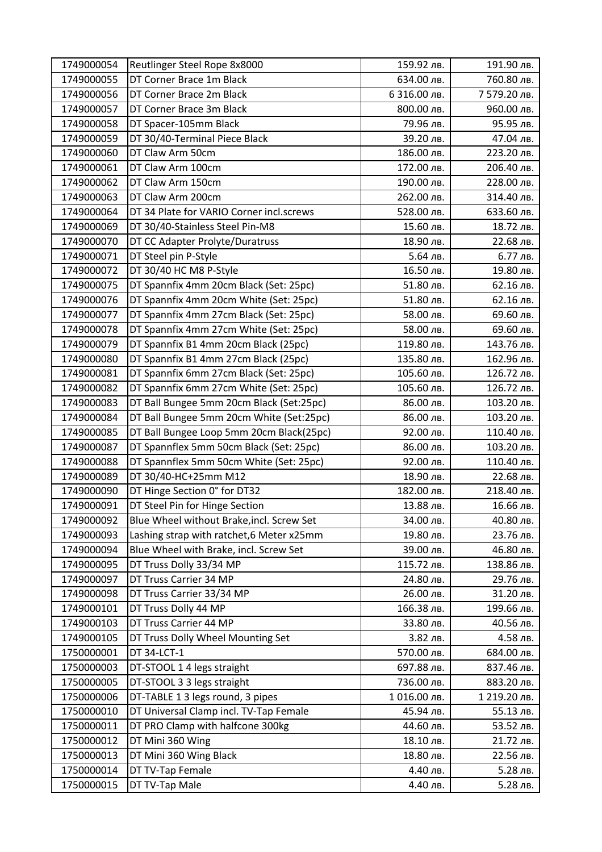| 1749000054 | Reutlinger Steel Rope 8x8000              | 159.92 лв.   | 191.90 лв.   |
|------------|-------------------------------------------|--------------|--------------|
| 1749000055 | DT Corner Brace 1m Black                  | 634.00 лв.   | 760.80 лв.   |
| 1749000056 | DT Corner Brace 2m Black                  | 6 316.00 лв. | 7 579.20 лв. |
| 1749000057 | DT Corner Brace 3m Black                  | 800.00 лв.   | 960.00 лв.   |
| 1749000058 | DT Spacer-105mm Black                     | 79.96 лв.    | 95.95 лв.    |
| 1749000059 | DT 30/40-Terminal Piece Black             | 39.20 лв.    | 47.04 лв.    |
| 1749000060 | DT Claw Arm 50cm                          | 186.00 лв.   | 223.20 лв.   |
| 1749000061 | DT Claw Arm 100cm                         | 172.00 лв.   | 206.40 лв.   |
| 1749000062 | DT Claw Arm 150cm                         | 190.00 лв.   | 228.00 лв.   |
| 1749000063 | DT Claw Arm 200cm                         | 262.00 лв.   | 314.40 лв.   |
| 1749000064 | DT 34 Plate for VARIO Corner incl.screws  | 528.00 лв.   | 633.60 лв.   |
| 1749000069 | DT 30/40-Stainless Steel Pin-M8           | 15.60 лв.    | 18.72 лв.    |
| 1749000070 | DT CC Adapter Prolyte/Duratruss           | 18.90 лв.    | 22.68 лв.    |
| 1749000071 | DT Steel pin P-Style                      | 5.64 лв.     | 6.77 лв.     |
| 1749000072 | DT 30/40 HC M8 P-Style                    | 16.50 лв.    | 19.80 лв.    |
| 1749000075 | DT Spannfix 4mm 20cm Black (Set: 25pc)    | 51.80 лв.    | 62.16 лв.    |
| 1749000076 | DT Spannfix 4mm 20cm White (Set: 25pc)    | 51.80 лв.    | 62.16 лв.    |
| 1749000077 | DT Spannfix 4mm 27cm Black (Set: 25pc)    | 58.00 лв.    | 69.60 лв.    |
| 1749000078 | DT Spannfix 4mm 27cm White (Set: 25pc)    | 58.00 лв.    | 69.60 лв.    |
| 1749000079 | DT Spannfix B1 4mm 20cm Black (25pc)      | 119.80 лв.   | 143.76 лв.   |
| 1749000080 | DT Spannfix B1 4mm 27cm Black (25pc)      | 135.80 лв.   | 162.96 лв.   |
| 1749000081 | DT Spannfix 6mm 27cm Black (Set: 25pc)    | 105.60 лв.   | 126.72 лв.   |
| 1749000082 | DT Spannfix 6mm 27cm White (Set: 25pc)    | 105.60 лв.   | 126.72 лв.   |
| 1749000083 | DT Ball Bungee 5mm 20cm Black (Set:25pc)  | 86.00 лв.    | 103.20 лв.   |
| 1749000084 | DT Ball Bungee 5mm 20cm White (Set:25pc)  | 86.00 лв.    | 103.20 лв.   |
| 1749000085 | DT Ball Bungee Loop 5mm 20cm Black(25pc)  | 92.00 лв.    | 110.40 лв.   |
| 1749000087 | DT Spannflex 5mm 50cm Black (Set: 25pc)   | 86.00 лв.    | 103.20 лв.   |
| 1749000088 | DT Spannflex 5mm 50cm White (Set: 25pc)   | 92.00 лв.    | 110.40 лв.   |
| 1749000089 | DT 30/40-HC+25mm M12                      | 18.90 лв.    | 22.68 лв.    |
| 1749000090 | DT Hinge Section 0° for DT32              | 182.00 лв.   | 218.40 лв.   |
| 1749000091 | DT Steel Pin for Hinge Section            | 13.88 лв.    | 16.66 лв.    |
| 1749000092 | Blue Wheel without Brake, incl. Screw Set | 34.00 лв.    | 40.80 лв.    |
| 1749000093 | Lashing strap with ratchet, 6 Meter x25mm | 19.80 лв.    | 23.76 лв.    |
| 1749000094 | Blue Wheel with Brake, incl. Screw Set    | 39.00 лв.    | 46.80 лв.    |
| 1749000095 | DT Truss Dolly 33/34 MP                   | 115.72 лв.   | 138.86 лв.   |
| 1749000097 | DT Truss Carrier 34 MP                    | 24.80 лв.    | 29.76 лв.    |
| 1749000098 | DT Truss Carrier 33/34 MP                 | 26.00 лв.    | 31.20 лв.    |
| 1749000101 | DT Truss Dolly 44 MP                      | 166.38 лв.   | 199.66 лв.   |
| 1749000103 | DT Truss Carrier 44 MP                    | 33.80 лв.    | 40.56 лв.    |
| 1749000105 | DT Truss Dolly Wheel Mounting Set         | 3.82 лв.     | 4.58 лв.     |
| 1750000001 | DT 34-LCT-1                               | 570.00 лв.   | 684.00 лв.   |
| 1750000003 | DT-STOOL 1 4 legs straight                | 697.88 лв.   | 837.46 лв.   |
| 1750000005 | DT-STOOL 3 3 legs straight                | 736.00 лв.   | 883.20 лв.   |
| 1750000006 | DT-TABLE 1 3 legs round, 3 pipes          | 1016.00 лв.  | 1 219.20 лв. |
| 1750000010 | DT Universal Clamp incl. TV-Tap Female    | 45.94 лв.    | 55.13 лв.    |
| 1750000011 | DT PRO Clamp with halfcone 300kg          | 44.60 лв.    | 53.52 лв.    |
| 1750000012 | DT Mini 360 Wing                          | 18.10 лв.    | 21.72 лв.    |
| 1750000013 | DT Mini 360 Wing Black                    | 18.80 лв.    | 22.56 лв.    |
| 1750000014 | DT TV-Tap Female                          | 4.40 лв.     | 5.28 лв.     |
| 1750000015 | DT TV-Tap Male                            | 4.40 лв.     | 5.28 лв.     |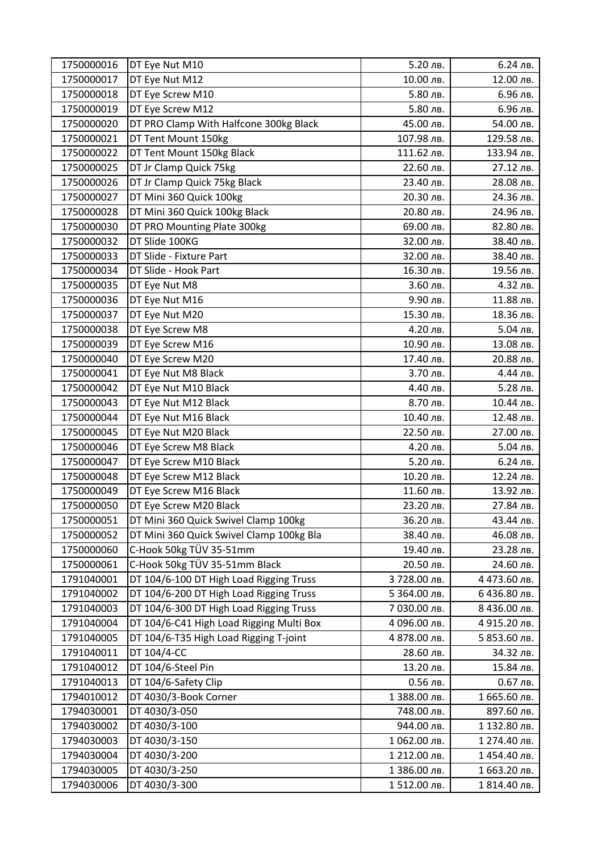| 1750000016 | DT Eye Nut M10                           | 5.20 лв.     | 6.24 лв.     |
|------------|------------------------------------------|--------------|--------------|
| 1750000017 | DT Eye Nut M12                           | 10.00 лв.    | 12.00 лв.    |
| 1750000018 | DT Eye Screw M10                         | 5.80 лв.     | 6.96 лв.     |
| 1750000019 | DT Eye Screw M12                         | 5.80 лв.     | 6.96 лв.     |
| 1750000020 | DT PRO Clamp With Halfcone 300kg Black   | 45.00 лв.    | 54.00 лв.    |
| 1750000021 | DT Tent Mount 150kg                      | 107.98 лв.   | 129.58 лв.   |
| 1750000022 | DT Tent Mount 150kg Black                | 111.62 лв.   | 133.94 лв.   |
| 1750000025 | DT Jr Clamp Quick 75kg                   | 22.60 лв.    | 27.12 лв.    |
| 1750000026 | DT Jr Clamp Quick 75kg Black             | 23.40 лв.    | 28.08 лв.    |
| 1750000027 | DT Mini 360 Quick 100kg                  | 20.30 лв.    | 24.36 лв.    |
| 1750000028 | DT Mini 360 Quick 100kg Black            | 20.80 лв.    | 24.96 лв.    |
| 1750000030 | DT PRO Mounting Plate 300kg              | 69.00 лв.    | 82.80 лв.    |
| 1750000032 | DT Slide 100KG                           | 32.00 лв.    | 38.40 лв.    |
| 1750000033 | DT Slide - Fixture Part                  | 32.00 лв.    | 38.40 лв.    |
| 1750000034 | DT Slide - Hook Part                     | 16.30 лв.    | 19.56 лв.    |
| 1750000035 | DT Eye Nut M8                            | 3.60 лв.     | 4.32 лв.     |
| 1750000036 | DT Eye Nut M16                           | 9.90 лв.     | 11.88 лв.    |
| 1750000037 | DT Eye Nut M20                           | 15.30 лв.    | 18.36 лв.    |
| 1750000038 | DT Eye Screw M8                          | 4.20 лв.     | 5.04 лв.     |
| 1750000039 | DT Eye Screw M16                         | 10.90 лв.    | 13.08 лв.    |
| 1750000040 | DT Eye Screw M20                         | 17.40 лв.    | 20.88 лв.    |
| 1750000041 | DT Eye Nut M8 Black                      | 3.70 лв.     | 4.44 лв.     |
| 1750000042 | DT Eye Nut M10 Black                     | 4.40 лв.     | 5.28 лв.     |
| 1750000043 | DT Eye Nut M12 Black                     | 8.70 лв.     | 10.44 лв.    |
| 1750000044 | DT Eye Nut M16 Black                     | 10.40 лв.    | 12.48 лв.    |
| 1750000045 | DT Eye Nut M20 Black                     | 22.50 лв.    | 27.00 лв.    |
| 1750000046 | DT Eye Screw M8 Black                    | 4.20 лв.     | 5.04 лв.     |
| 1750000047 | DT Eye Screw M10 Black                   | 5.20 лв.     | 6.24 лв.     |
| 1750000048 | DT Eye Screw M12 Black                   | 10.20 лв.    | 12.24 лв.    |
| 1750000049 | DT Eye Screw M16 Black                   | 11.60 лв.    | 13.92 лв.    |
| 1750000050 | DT Eye Screw M20 Black                   | 23.20 лв.    | 27.84 лв.    |
| 1750000051 | DT Mini 360 Quick Swivel Clamp 100kg     | 36.20 лв.    | 43.44 лв.    |
| 1750000052 | DT Mini 360 Quick Swivel Clamp 100kg Bla | 38.40 лв.    | 46.08 лв.    |
| 1750000060 | C-Hook 50kg TÜV 35-51mm                  | 19.40 лв.    | 23.28 лв.    |
| 1750000061 | C-Hook 50kg TÜV 35-51mm Black            | 20.50 лв.    | 24.60 лв.    |
| 1791040001 | DT 104/6-100 DT High Load Rigging Truss  | 3 728.00 лв. | 4 473.60 лв. |
| 1791040002 | DT 104/6-200 DT High Load Rigging Truss  | 5 364.00 лв. | 6 436.80 лв. |
| 1791040003 | DT 104/6-300 DT High Load Rigging Truss  | 7 030.00 лв. | 8 436.00 лв. |
| 1791040004 | DT 104/6-C41 High Load Rigging Multi Box | 4 096.00 лв. | 4 915.20 лв. |
| 1791040005 | DT 104/6-T35 High Load Rigging T-joint   | 4 878.00 лв. | 5 853.60 лв. |
| 1791040011 | DT 104/4-CC                              | 28.60 лв.    | 34.32 лв.    |
| 1791040012 | DT 104/6-Steel Pin                       | 13.20 лв.    | 15.84 лв.    |
| 1791040013 | DT 104/6-Safety Clip                     | 0.56 лв.     | 0.67 лв.     |
| 1794010012 | DT 4030/3-Book Corner                    | 1 388.00 лв. | 1 665.60 лв. |
| 1794030001 | DT 4030/3-050                            | 748.00 лв.   | 897.60 лв.   |
| 1794030002 | DT 4030/3-100                            | 944.00 лв.   | 1 132.80 лв. |
| 1794030003 | DT 4030/3-150                            | 1 062.00 лв. | 1 274.40 лв. |
| 1794030004 | DT 4030/3-200                            | 1 212.00 лв. | 1454.40 лв.  |
| 1794030005 | DT 4030/3-250                            | 1 386.00 лв. | 1 663.20 лв. |
| 1794030006 | DT 4030/3-300                            | 1512.00 лв.  | 1 814.40 лв. |